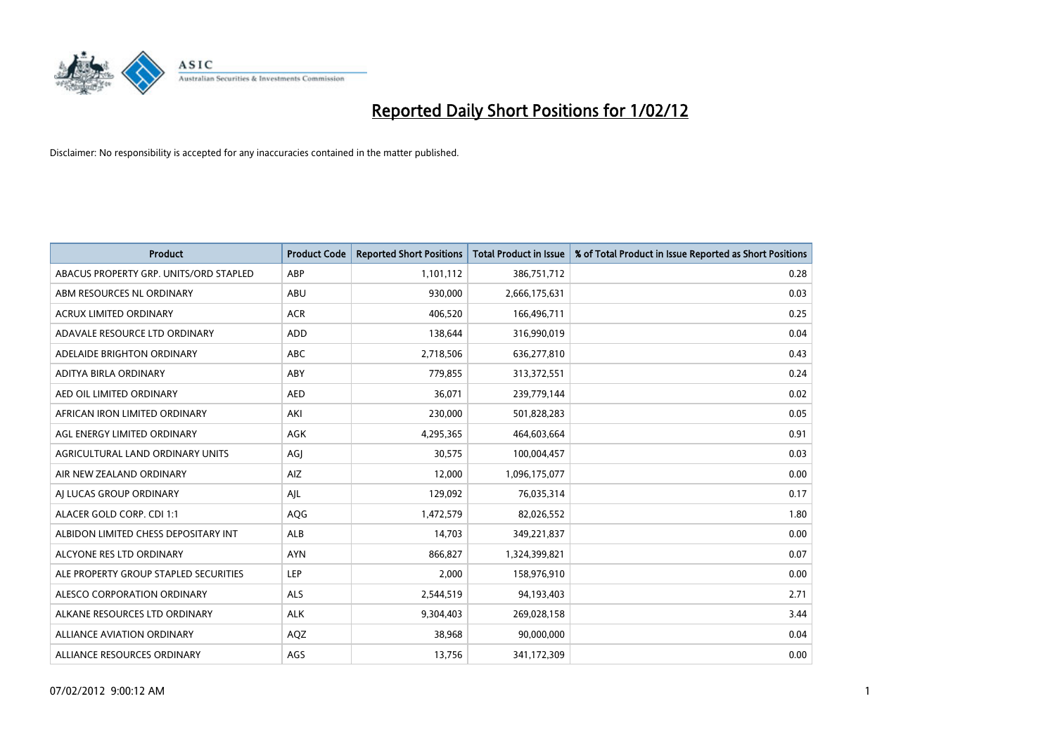

| <b>Product</b>                         | <b>Product Code</b> | <b>Reported Short Positions</b> | <b>Total Product in Issue</b> | % of Total Product in Issue Reported as Short Positions |
|----------------------------------------|---------------------|---------------------------------|-------------------------------|---------------------------------------------------------|
| ABACUS PROPERTY GRP. UNITS/ORD STAPLED | ABP                 | 1,101,112                       | 386,751,712                   | 0.28                                                    |
| ABM RESOURCES NL ORDINARY              | ABU                 | 930,000                         | 2,666,175,631                 | 0.03                                                    |
| <b>ACRUX LIMITED ORDINARY</b>          | <b>ACR</b>          | 406,520                         | 166,496,711                   | 0.25                                                    |
| ADAVALE RESOURCE LTD ORDINARY          | <b>ADD</b>          | 138,644                         | 316,990,019                   | 0.04                                                    |
| ADELAIDE BRIGHTON ORDINARY             | <b>ABC</b>          | 2,718,506                       | 636,277,810                   | 0.43                                                    |
| ADITYA BIRLA ORDINARY                  | ABY                 | 779,855                         | 313,372,551                   | 0.24                                                    |
| AED OIL LIMITED ORDINARY               | <b>AED</b>          | 36,071                          | 239,779,144                   | 0.02                                                    |
| AFRICAN IRON LIMITED ORDINARY          | AKI                 | 230,000                         | 501,828,283                   | 0.05                                                    |
| AGL ENERGY LIMITED ORDINARY            | <b>AGK</b>          | 4,295,365                       | 464,603,664                   | 0.91                                                    |
| AGRICULTURAL LAND ORDINARY UNITS       | AGJ                 | 30,575                          | 100,004,457                   | 0.03                                                    |
| AIR NEW ZEALAND ORDINARY               | AIZ                 | 12,000                          | 1,096,175,077                 | 0.00                                                    |
| AJ LUCAS GROUP ORDINARY                | AJL                 | 129,092                         | 76,035,314                    | 0.17                                                    |
| ALACER GOLD CORP. CDI 1:1              | AQG                 | 1,472,579                       | 82,026,552                    | 1.80                                                    |
| ALBIDON LIMITED CHESS DEPOSITARY INT   | <b>ALB</b>          | 14,703                          | 349,221,837                   | 0.00                                                    |
| ALCYONE RES LTD ORDINARY               | <b>AYN</b>          | 866,827                         | 1,324,399,821                 | 0.07                                                    |
| ALE PROPERTY GROUP STAPLED SECURITIES  | <b>LEP</b>          | 2,000                           | 158,976,910                   | 0.00                                                    |
| ALESCO CORPORATION ORDINARY            | ALS                 | 2,544,519                       | 94,193,403                    | 2.71                                                    |
| ALKANE RESOURCES LTD ORDINARY          | <b>ALK</b>          | 9,304,403                       | 269,028,158                   | 3.44                                                    |
| <b>ALLIANCE AVIATION ORDINARY</b>      | AQZ                 | 38,968                          | 90,000,000                    | 0.04                                                    |
| ALLIANCE RESOURCES ORDINARY            | AGS                 | 13,756                          | 341,172,309                   | 0.00                                                    |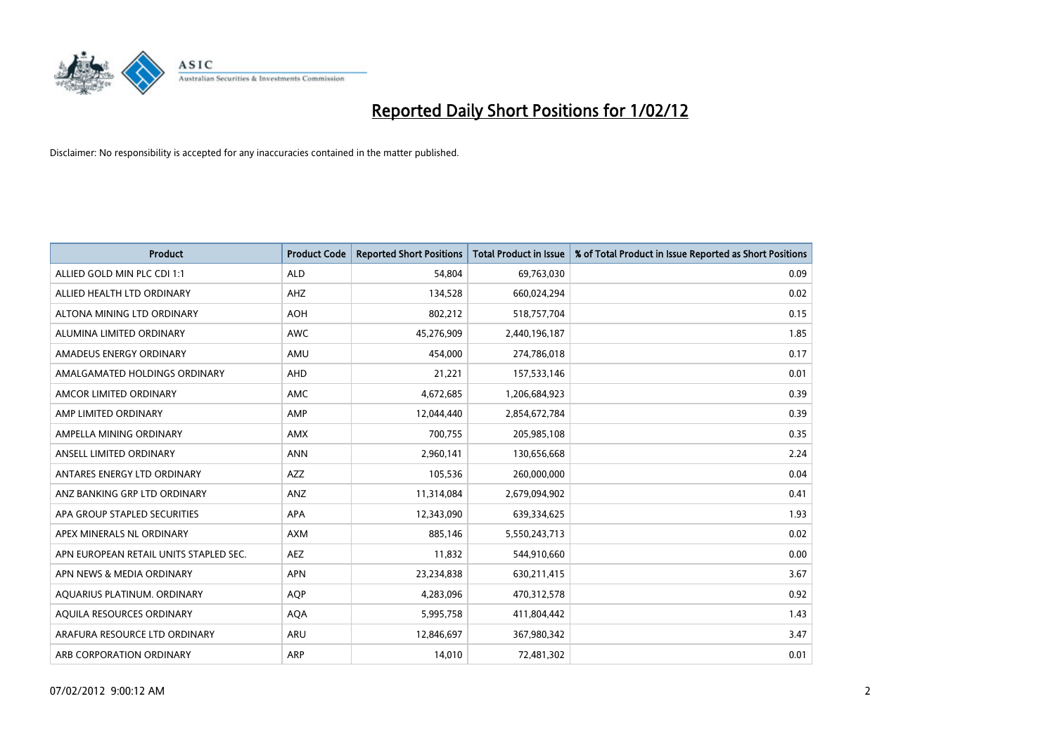

| <b>Product</b>                         | <b>Product Code</b> | <b>Reported Short Positions</b> | <b>Total Product in Issue</b> | % of Total Product in Issue Reported as Short Positions |
|----------------------------------------|---------------------|---------------------------------|-------------------------------|---------------------------------------------------------|
| ALLIED GOLD MIN PLC CDI 1:1            | <b>ALD</b>          | 54,804                          | 69,763,030                    | 0.09                                                    |
| ALLIED HEALTH LTD ORDINARY             | AHZ                 | 134,528                         | 660,024,294                   | 0.02                                                    |
| ALTONA MINING LTD ORDINARY             | <b>AOH</b>          | 802,212                         | 518,757,704                   | 0.15                                                    |
| ALUMINA LIMITED ORDINARY               | <b>AWC</b>          | 45,276,909                      | 2,440,196,187                 | 1.85                                                    |
| AMADEUS ENERGY ORDINARY                | AMU                 | 454,000                         | 274,786,018                   | 0.17                                                    |
| AMALGAMATED HOLDINGS ORDINARY          | AHD                 | 21,221                          | 157,533,146                   | 0.01                                                    |
| AMCOR LIMITED ORDINARY                 | AMC                 | 4,672,685                       | 1,206,684,923                 | 0.39                                                    |
| AMP LIMITED ORDINARY                   | AMP                 | 12,044,440                      | 2,854,672,784                 | 0.39                                                    |
| AMPELLA MINING ORDINARY                | <b>AMX</b>          | 700,755                         | 205,985,108                   | 0.35                                                    |
| ANSELL LIMITED ORDINARY                | <b>ANN</b>          | 2,960,141                       | 130,656,668                   | 2.24                                                    |
| ANTARES ENERGY LTD ORDINARY            | AZZ                 | 105,536                         | 260,000,000                   | 0.04                                                    |
| ANZ BANKING GRP LTD ORDINARY           | ANZ                 | 11,314,084                      | 2,679,094,902                 | 0.41                                                    |
| APA GROUP STAPLED SECURITIES           | <b>APA</b>          | 12,343,090                      | 639,334,625                   | 1.93                                                    |
| APEX MINERALS NL ORDINARY              | <b>AXM</b>          | 885,146                         | 5,550,243,713                 | 0.02                                                    |
| APN EUROPEAN RETAIL UNITS STAPLED SEC. | <b>AEZ</b>          | 11,832                          | 544,910,660                   | 0.00                                                    |
| APN NEWS & MEDIA ORDINARY              | <b>APN</b>          | 23,234,838                      | 630,211,415                   | 3.67                                                    |
| AQUARIUS PLATINUM. ORDINARY            | <b>AQP</b>          | 4,283,096                       | 470,312,578                   | 0.92                                                    |
| AQUILA RESOURCES ORDINARY              | <b>AQA</b>          | 5,995,758                       | 411,804,442                   | 1.43                                                    |
| ARAFURA RESOURCE LTD ORDINARY          | ARU                 | 12,846,697                      | 367,980,342                   | 3.47                                                    |
| ARB CORPORATION ORDINARY               | ARP                 | 14,010                          | 72,481,302                    | 0.01                                                    |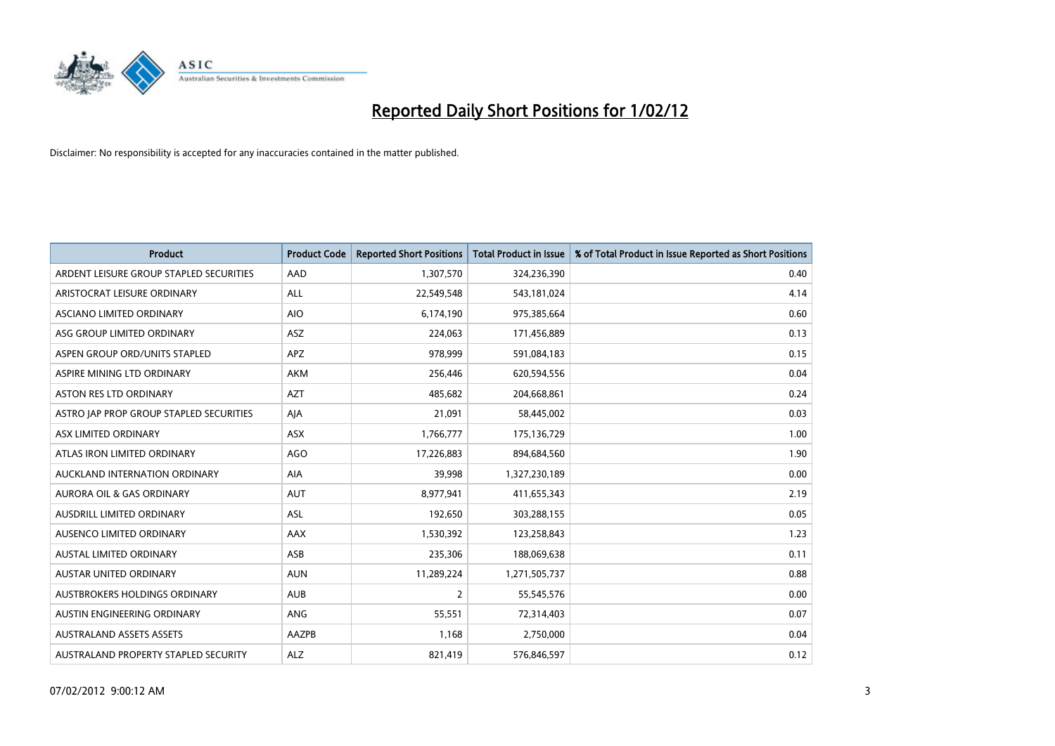

| <b>Product</b>                          | <b>Product Code</b> | <b>Reported Short Positions</b> | <b>Total Product in Issue</b> | % of Total Product in Issue Reported as Short Positions |
|-----------------------------------------|---------------------|---------------------------------|-------------------------------|---------------------------------------------------------|
| ARDENT LEISURE GROUP STAPLED SECURITIES | AAD                 | 1,307,570                       | 324,236,390                   | 0.40                                                    |
| ARISTOCRAT LEISURE ORDINARY             | ALL                 | 22,549,548                      | 543,181,024                   | 4.14                                                    |
| ASCIANO LIMITED ORDINARY                | <b>AIO</b>          | 6,174,190                       | 975,385,664                   | 0.60                                                    |
| ASG GROUP LIMITED ORDINARY              | ASZ                 | 224,063                         | 171,456,889                   | 0.13                                                    |
| ASPEN GROUP ORD/UNITS STAPLED           | <b>APZ</b>          | 978,999                         | 591,084,183                   | 0.15                                                    |
| ASPIRE MINING LTD ORDINARY              | AKM                 | 256,446                         | 620,594,556                   | 0.04                                                    |
| ASTON RES LTD ORDINARY                  | <b>AZT</b>          | 485,682                         | 204,668,861                   | 0.24                                                    |
| ASTRO JAP PROP GROUP STAPLED SECURITIES | AJA                 | 21,091                          | 58,445,002                    | 0.03                                                    |
| ASX LIMITED ORDINARY                    | ASX                 | 1,766,777                       | 175,136,729                   | 1.00                                                    |
| ATLAS IRON LIMITED ORDINARY             | AGO                 | 17,226,883                      | 894,684,560                   | 1.90                                                    |
| AUCKLAND INTERNATION ORDINARY           | AIA                 | 39,998                          | 1,327,230,189                 | 0.00                                                    |
| AURORA OIL & GAS ORDINARY               | <b>AUT</b>          | 8,977,941                       | 411,655,343                   | 2.19                                                    |
| AUSDRILL LIMITED ORDINARY               | ASL                 | 192,650                         | 303,288,155                   | 0.05                                                    |
| AUSENCO LIMITED ORDINARY                | AAX                 | 1,530,392                       | 123,258,843                   | 1.23                                                    |
| <b>AUSTAL LIMITED ORDINARY</b>          | ASB                 | 235,306                         | 188,069,638                   | 0.11                                                    |
| AUSTAR UNITED ORDINARY                  | <b>AUN</b>          | 11,289,224                      | 1,271,505,737                 | 0.88                                                    |
| AUSTBROKERS HOLDINGS ORDINARY           | <b>AUB</b>          | $\overline{2}$                  | 55,545,576                    | 0.00                                                    |
| AUSTIN ENGINEERING ORDINARY             | ANG                 | 55,551                          | 72,314,403                    | 0.07                                                    |
| <b>AUSTRALAND ASSETS ASSETS</b>         | AAZPB               | 1,168                           | 2,750,000                     | 0.04                                                    |
| AUSTRALAND PROPERTY STAPLED SECURITY    | <b>ALZ</b>          | 821,419                         | 576,846,597                   | 0.12                                                    |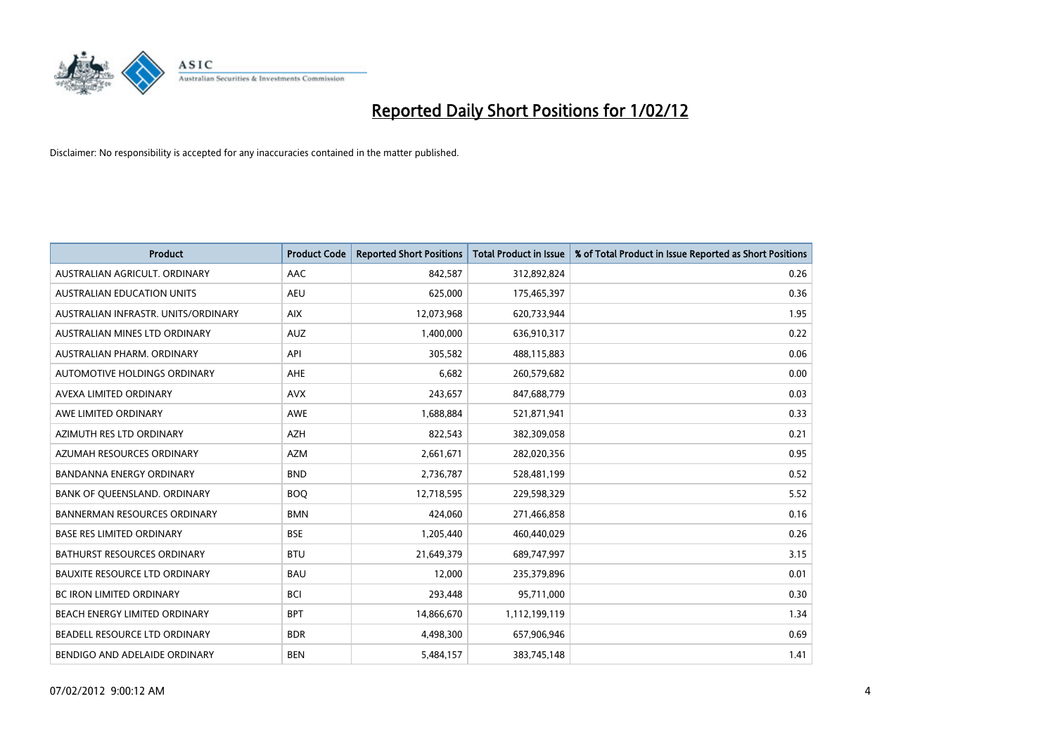

| <b>Product</b>                       | <b>Product Code</b> | <b>Reported Short Positions</b> | <b>Total Product in Issue</b> | % of Total Product in Issue Reported as Short Positions |
|--------------------------------------|---------------------|---------------------------------|-------------------------------|---------------------------------------------------------|
| AUSTRALIAN AGRICULT, ORDINARY        | AAC                 | 842,587                         | 312,892,824                   | 0.26                                                    |
| AUSTRALIAN EDUCATION UNITS           | <b>AEU</b>          | 625,000                         | 175,465,397                   | 0.36                                                    |
| AUSTRALIAN INFRASTR, UNITS/ORDINARY  | <b>AIX</b>          | 12,073,968                      | 620,733,944                   | 1.95                                                    |
| AUSTRALIAN MINES LTD ORDINARY        | <b>AUZ</b>          | 1,400,000                       | 636,910,317                   | 0.22                                                    |
| AUSTRALIAN PHARM, ORDINARY           | API                 | 305,582                         | 488,115,883                   | 0.06                                                    |
| AUTOMOTIVE HOLDINGS ORDINARY         | AHE                 | 6,682                           | 260,579,682                   | 0.00                                                    |
| AVEXA LIMITED ORDINARY               | <b>AVX</b>          | 243,657                         | 847,688,779                   | 0.03                                                    |
| AWE LIMITED ORDINARY                 | AWE                 | 1,688,884                       | 521,871,941                   | 0.33                                                    |
| AZIMUTH RES LTD ORDINARY             | <b>AZH</b>          | 822,543                         | 382,309,058                   | 0.21                                                    |
| AZUMAH RESOURCES ORDINARY            | <b>AZM</b>          | 2,661,671                       | 282,020,356                   | 0.95                                                    |
| BANDANNA ENERGY ORDINARY             | <b>BND</b>          | 2,736,787                       | 528,481,199                   | 0.52                                                    |
| BANK OF QUEENSLAND. ORDINARY         | <b>BOQ</b>          | 12,718,595                      | 229,598,329                   | 5.52                                                    |
| BANNERMAN RESOURCES ORDINARY         | <b>BMN</b>          | 424,060                         | 271,466,858                   | 0.16                                                    |
| <b>BASE RES LIMITED ORDINARY</b>     | <b>BSE</b>          | 1,205,440                       | 460,440,029                   | 0.26                                                    |
| <b>BATHURST RESOURCES ORDINARY</b>   | <b>BTU</b>          | 21,649,379                      | 689,747,997                   | 3.15                                                    |
| <b>BAUXITE RESOURCE LTD ORDINARY</b> | <b>BAU</b>          | 12,000                          | 235,379,896                   | 0.01                                                    |
| BC IRON LIMITED ORDINARY             | <b>BCI</b>          | 293,448                         | 95,711,000                    | 0.30                                                    |
| BEACH ENERGY LIMITED ORDINARY        | <b>BPT</b>          | 14,866,670                      | 1,112,199,119                 | 1.34                                                    |
| BEADELL RESOURCE LTD ORDINARY        | <b>BDR</b>          | 4,498,300                       | 657,906,946                   | 0.69                                                    |
| BENDIGO AND ADELAIDE ORDINARY        | <b>BEN</b>          | 5,484,157                       | 383,745,148                   | 1.41                                                    |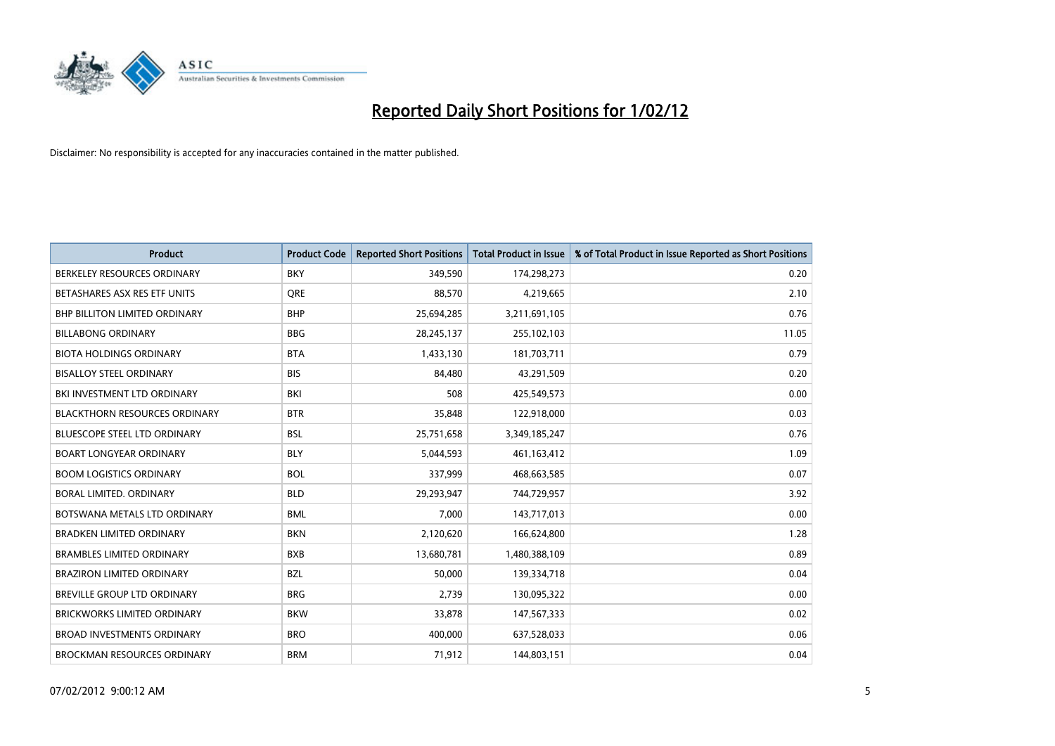

| <b>Product</b>                       | <b>Product Code</b> | <b>Reported Short Positions</b> | <b>Total Product in Issue</b> | % of Total Product in Issue Reported as Short Positions |
|--------------------------------------|---------------------|---------------------------------|-------------------------------|---------------------------------------------------------|
| BERKELEY RESOURCES ORDINARY          | <b>BKY</b>          | 349,590                         | 174,298,273                   | 0.20                                                    |
| BETASHARES ASX RES ETF UNITS         | <b>ORE</b>          | 88,570                          | 4,219,665                     | 2.10                                                    |
| BHP BILLITON LIMITED ORDINARY        | <b>BHP</b>          | 25,694,285                      | 3,211,691,105                 | 0.76                                                    |
| <b>BILLABONG ORDINARY</b>            | <b>BBG</b>          | 28,245,137                      | 255,102,103                   | 11.05                                                   |
| <b>BIOTA HOLDINGS ORDINARY</b>       | <b>BTA</b>          | 1,433,130                       | 181,703,711                   | 0.79                                                    |
| <b>BISALLOY STEEL ORDINARY</b>       | <b>BIS</b>          | 84,480                          | 43,291,509                    | 0.20                                                    |
| BKI INVESTMENT LTD ORDINARY          | BKI                 | 508                             | 425,549,573                   | 0.00                                                    |
| <b>BLACKTHORN RESOURCES ORDINARY</b> | <b>BTR</b>          | 35,848                          | 122,918,000                   | 0.03                                                    |
| <b>BLUESCOPE STEEL LTD ORDINARY</b>  | <b>BSL</b>          | 25,751,658                      | 3,349,185,247                 | 0.76                                                    |
| <b>BOART LONGYEAR ORDINARY</b>       | <b>BLY</b>          | 5,044,593                       | 461, 163, 412                 | 1.09                                                    |
| <b>BOOM LOGISTICS ORDINARY</b>       | <b>BOL</b>          | 337,999                         | 468,663,585                   | 0.07                                                    |
| <b>BORAL LIMITED, ORDINARY</b>       | <b>BLD</b>          | 29,293,947                      | 744,729,957                   | 3.92                                                    |
| BOTSWANA METALS LTD ORDINARY         | <b>BML</b>          | 7,000                           | 143,717,013                   | 0.00                                                    |
| <b>BRADKEN LIMITED ORDINARY</b>      | <b>BKN</b>          | 2,120,620                       | 166,624,800                   | 1.28                                                    |
| <b>BRAMBLES LIMITED ORDINARY</b>     | <b>BXB</b>          | 13,680,781                      | 1,480,388,109                 | 0.89                                                    |
| BRAZIRON LIMITED ORDINARY            | <b>BZL</b>          | 50,000                          | 139,334,718                   | 0.04                                                    |
| BREVILLE GROUP LTD ORDINARY          | <b>BRG</b>          | 2,739                           | 130,095,322                   | 0.00                                                    |
| <b>BRICKWORKS LIMITED ORDINARY</b>   | <b>BKW</b>          | 33,878                          | 147,567,333                   | 0.02                                                    |
| <b>BROAD INVESTMENTS ORDINARY</b>    | <b>BRO</b>          | 400,000                         | 637,528,033                   | 0.06                                                    |
| <b>BROCKMAN RESOURCES ORDINARY</b>   | <b>BRM</b>          | 71,912                          | 144,803,151                   | 0.04                                                    |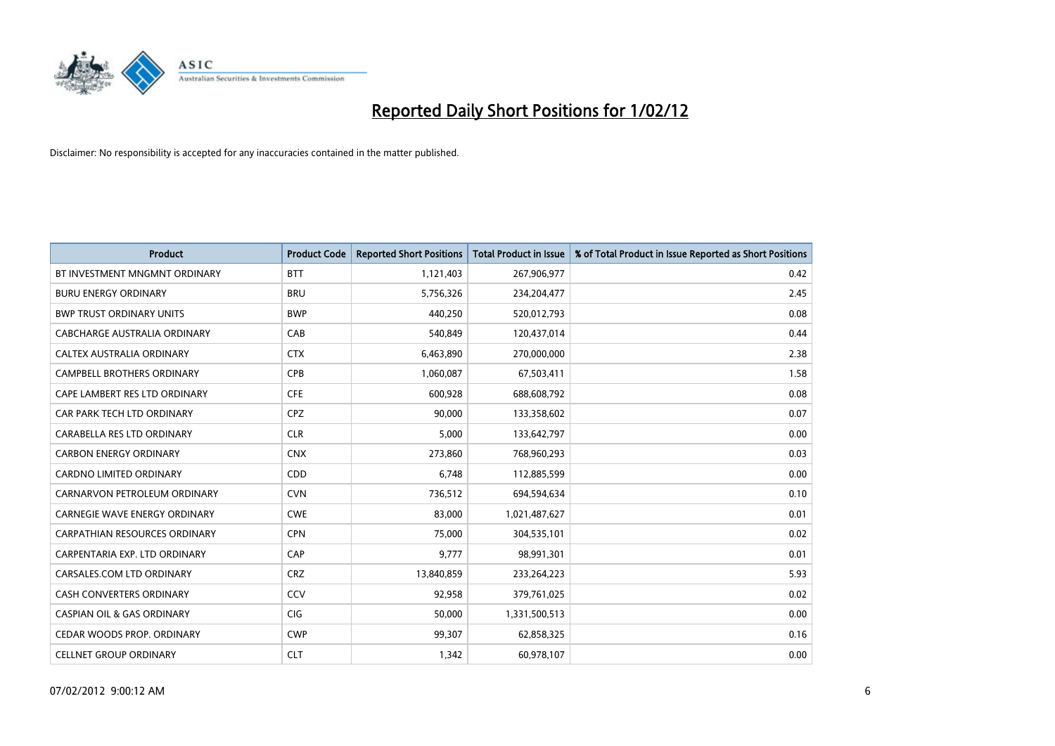

| <b>Product</b>                        | <b>Product Code</b> | <b>Reported Short Positions</b> | <b>Total Product in Issue</b> | % of Total Product in Issue Reported as Short Positions |
|---------------------------------------|---------------------|---------------------------------|-------------------------------|---------------------------------------------------------|
| BT INVESTMENT MNGMNT ORDINARY         | <b>BTT</b>          | 1,121,403                       | 267,906,977                   | 0.42                                                    |
| <b>BURU ENERGY ORDINARY</b>           | <b>BRU</b>          | 5,756,326                       | 234,204,477                   | 2.45                                                    |
| <b>BWP TRUST ORDINARY UNITS</b>       | <b>BWP</b>          | 440,250                         | 520,012,793                   | 0.08                                                    |
| CABCHARGE AUSTRALIA ORDINARY          | CAB                 | 540,849                         | 120,437,014                   | 0.44                                                    |
| CALTEX AUSTRALIA ORDINARY             | <b>CTX</b>          | 6,463,890                       | 270,000,000                   | 2.38                                                    |
| <b>CAMPBELL BROTHERS ORDINARY</b>     | <b>CPB</b>          | 1,060,087                       | 67,503,411                    | 1.58                                                    |
| CAPE LAMBERT RES LTD ORDINARY         | <b>CFE</b>          | 600,928                         | 688,608,792                   | 0.08                                                    |
| CAR PARK TECH LTD ORDINARY            | <b>CPZ</b>          | 90,000                          | 133,358,602                   | 0.07                                                    |
| CARABELLA RES LTD ORDINARY            | <b>CLR</b>          | 5,000                           | 133,642,797                   | 0.00                                                    |
| <b>CARBON ENERGY ORDINARY</b>         | <b>CNX</b>          | 273,860                         | 768,960,293                   | 0.03                                                    |
| CARDNO LIMITED ORDINARY               | CDD                 | 6,748                           | 112,885,599                   | 0.00                                                    |
| CARNARVON PETROLEUM ORDINARY          | <b>CVN</b>          | 736,512                         | 694,594,634                   | 0.10                                                    |
| <b>CARNEGIE WAVE ENERGY ORDINARY</b>  | <b>CWE</b>          | 83,000                          | 1,021,487,627                 | 0.01                                                    |
| CARPATHIAN RESOURCES ORDINARY         | <b>CPN</b>          | 75,000                          | 304,535,101                   | 0.02                                                    |
| CARPENTARIA EXP. LTD ORDINARY         | CAP                 | 9,777                           | 98,991,301                    | 0.01                                                    |
| CARSALES.COM LTD ORDINARY             | <b>CRZ</b>          | 13,840,859                      | 233,264,223                   | 5.93                                                    |
| CASH CONVERTERS ORDINARY              | CCV                 | 92,958                          | 379,761,025                   | 0.02                                                    |
| <b>CASPIAN OIL &amp; GAS ORDINARY</b> | CIG <sub></sub>     | 50,000                          | 1,331,500,513                 | 0.00                                                    |
| CEDAR WOODS PROP. ORDINARY            | <b>CWP</b>          | 99,307                          | 62,858,325                    | 0.16                                                    |
| <b>CELLNET GROUP ORDINARY</b>         | <b>CLT</b>          | 1,342                           | 60,978,107                    | 0.00                                                    |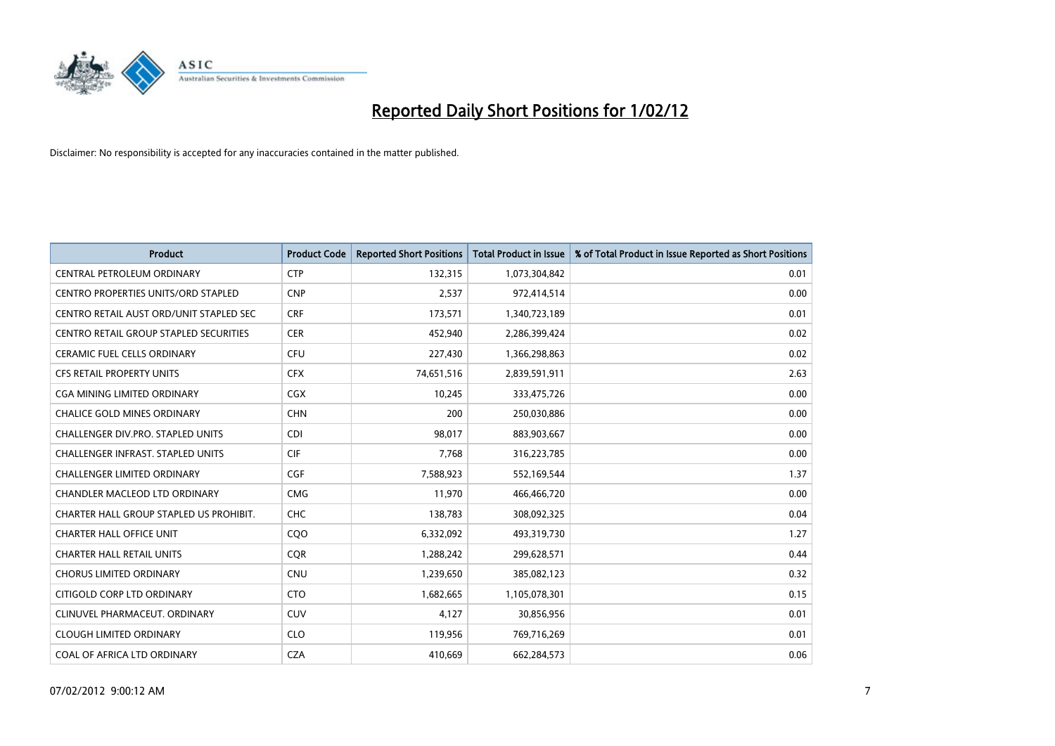

| <b>Product</b>                                | <b>Product Code</b> | <b>Reported Short Positions</b> | <b>Total Product in Issue</b> | % of Total Product in Issue Reported as Short Positions |
|-----------------------------------------------|---------------------|---------------------------------|-------------------------------|---------------------------------------------------------|
| CENTRAL PETROLEUM ORDINARY                    | <b>CTP</b>          | 132,315                         | 1,073,304,842                 | 0.01                                                    |
| <b>CENTRO PROPERTIES UNITS/ORD STAPLED</b>    | <b>CNP</b>          | 2,537                           | 972,414,514                   | 0.00                                                    |
| CENTRO RETAIL AUST ORD/UNIT STAPLED SEC       | <b>CRF</b>          | 173,571                         | 1,340,723,189                 | 0.01                                                    |
| <b>CENTRO RETAIL GROUP STAPLED SECURITIES</b> | <b>CER</b>          | 452,940                         | 2,286,399,424                 | 0.02                                                    |
| <b>CERAMIC FUEL CELLS ORDINARY</b>            | <b>CFU</b>          | 227,430                         | 1,366,298,863                 | 0.02                                                    |
| <b>CFS RETAIL PROPERTY UNITS</b>              | <b>CFX</b>          | 74,651,516                      | 2,839,591,911                 | 2.63                                                    |
| CGA MINING LIMITED ORDINARY                   | <b>CGX</b>          | 10,245                          | 333,475,726                   | 0.00                                                    |
| <b>CHALICE GOLD MINES ORDINARY</b>            | <b>CHN</b>          | 200                             | 250,030,886                   | 0.00                                                    |
| CHALLENGER DIV.PRO. STAPLED UNITS             | <b>CDI</b>          | 98,017                          | 883,903,667                   | 0.00                                                    |
| <b>CHALLENGER INFRAST, STAPLED UNITS</b>      | <b>CIF</b>          | 7.768                           | 316,223,785                   | 0.00                                                    |
| <b>CHALLENGER LIMITED ORDINARY</b>            | <b>CGF</b>          | 7,588,923                       | 552,169,544                   | 1.37                                                    |
| CHANDLER MACLEOD LTD ORDINARY                 | <b>CMG</b>          | 11,970                          | 466,466,720                   | 0.00                                                    |
| CHARTER HALL GROUP STAPLED US PROHIBIT.       | <b>CHC</b>          | 138.783                         | 308,092,325                   | 0.04                                                    |
| <b>CHARTER HALL OFFICE UNIT</b>               | COO                 | 6,332,092                       | 493,319,730                   | 1.27                                                    |
| <b>CHARTER HALL RETAIL UNITS</b>              | <b>COR</b>          | 1,288,242                       | 299,628,571                   | 0.44                                                    |
| <b>CHORUS LIMITED ORDINARY</b>                | <b>CNU</b>          | 1,239,650                       | 385,082,123                   | 0.32                                                    |
| CITIGOLD CORP LTD ORDINARY                    | <b>CTO</b>          | 1,682,665                       | 1,105,078,301                 | 0.15                                                    |
| CLINUVEL PHARMACEUT. ORDINARY                 | <b>CUV</b>          | 4,127                           | 30,856,956                    | 0.01                                                    |
| <b>CLOUGH LIMITED ORDINARY</b>                | <b>CLO</b>          | 119,956                         | 769,716,269                   | 0.01                                                    |
| COAL OF AFRICA LTD ORDINARY                   | <b>CZA</b>          | 410,669                         | 662,284,573                   | 0.06                                                    |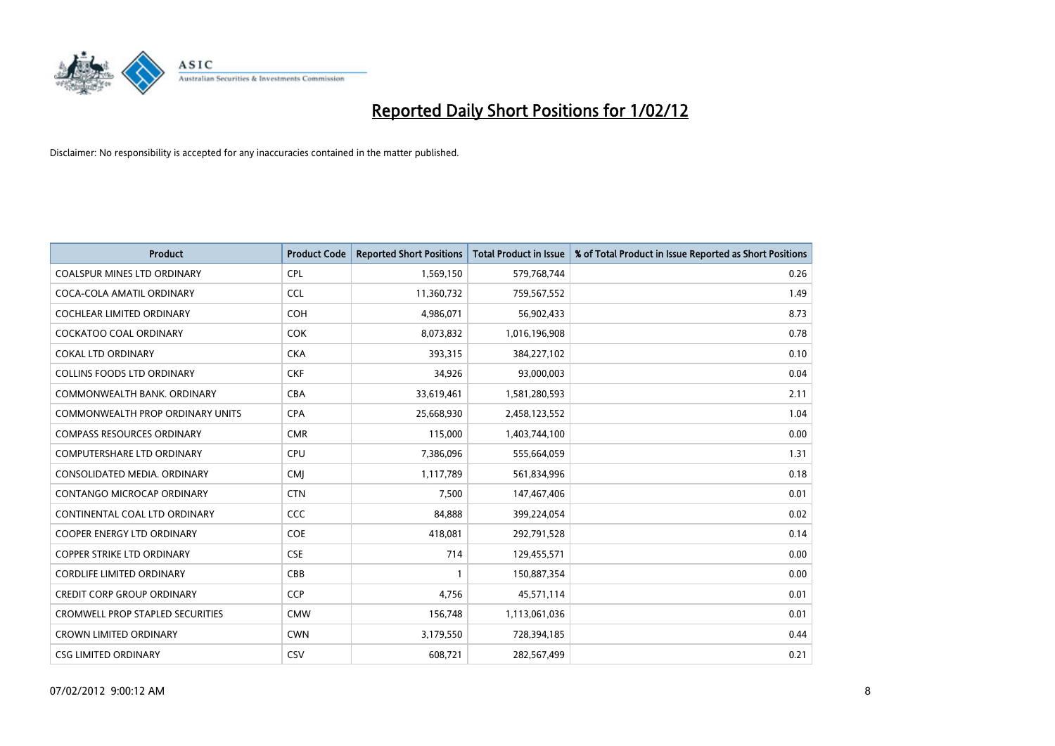

| <b>Product</b>                          | <b>Product Code</b> | <b>Reported Short Positions</b> | <b>Total Product in Issue</b> | % of Total Product in Issue Reported as Short Positions |
|-----------------------------------------|---------------------|---------------------------------|-------------------------------|---------------------------------------------------------|
| <b>COALSPUR MINES LTD ORDINARY</b>      | <b>CPL</b>          | 1,569,150                       | 579,768,744                   | 0.26                                                    |
| COCA-COLA AMATIL ORDINARY               | <b>CCL</b>          | 11,360,732                      | 759,567,552                   | 1.49                                                    |
| <b>COCHLEAR LIMITED ORDINARY</b>        | <b>COH</b>          | 4,986,071                       | 56,902,433                    | 8.73                                                    |
| <b>COCKATOO COAL ORDINARY</b>           | COK                 | 8,073,832                       | 1,016,196,908                 | 0.78                                                    |
| <b>COKAL LTD ORDINARY</b>               | <b>CKA</b>          | 393,315                         | 384,227,102                   | 0.10                                                    |
| <b>COLLINS FOODS LTD ORDINARY</b>       | <b>CKF</b>          | 34,926                          | 93,000,003                    | 0.04                                                    |
| COMMONWEALTH BANK, ORDINARY             | <b>CBA</b>          | 33,619,461                      | 1,581,280,593                 | 2.11                                                    |
| <b>COMMONWEALTH PROP ORDINARY UNITS</b> | <b>CPA</b>          | 25,668,930                      | 2,458,123,552                 | 1.04                                                    |
| <b>COMPASS RESOURCES ORDINARY</b>       | <b>CMR</b>          | 115,000                         | 1,403,744,100                 | 0.00                                                    |
| <b>COMPUTERSHARE LTD ORDINARY</b>       | <b>CPU</b>          | 7,386,096                       | 555,664,059                   | 1.31                                                    |
| CONSOLIDATED MEDIA. ORDINARY            | <b>CMI</b>          | 1,117,789                       | 561,834,996                   | 0.18                                                    |
| CONTANGO MICROCAP ORDINARY              | <b>CTN</b>          | 7,500                           | 147,467,406                   | 0.01                                                    |
| CONTINENTAL COAL LTD ORDINARY           | <b>CCC</b>          | 84,888                          | 399,224,054                   | 0.02                                                    |
| <b>COOPER ENERGY LTD ORDINARY</b>       | <b>COE</b>          | 418,081                         | 292,791,528                   | 0.14                                                    |
| <b>COPPER STRIKE LTD ORDINARY</b>       | <b>CSE</b>          | 714                             | 129,455,571                   | 0.00                                                    |
| <b>CORDLIFE LIMITED ORDINARY</b>        | CBB                 |                                 | 150,887,354                   | 0.00                                                    |
| <b>CREDIT CORP GROUP ORDINARY</b>       | <b>CCP</b>          | 4,756                           | 45,571,114                    | 0.01                                                    |
| <b>CROMWELL PROP STAPLED SECURITIES</b> | <b>CMW</b>          | 156,748                         | 1,113,061,036                 | 0.01                                                    |
| <b>CROWN LIMITED ORDINARY</b>           | <b>CWN</b>          | 3,179,550                       | 728,394,185                   | 0.44                                                    |
| <b>CSG LIMITED ORDINARY</b>             | CSV                 | 608,721                         | 282,567,499                   | 0.21                                                    |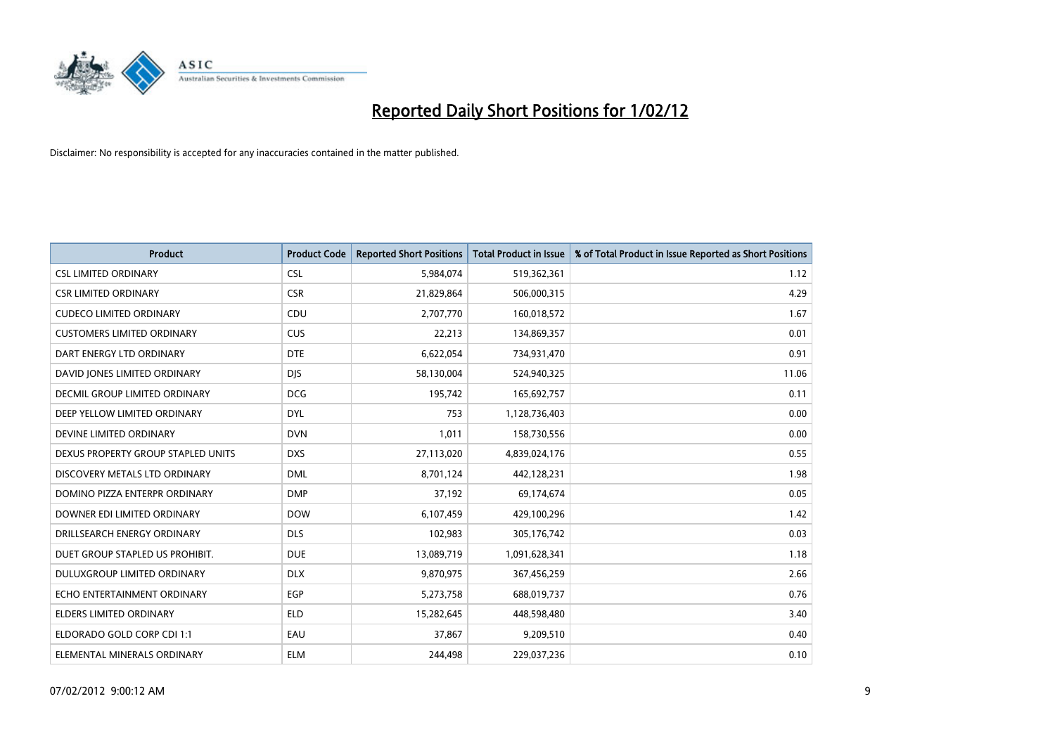

| <b>Product</b>                       | <b>Product Code</b> | <b>Reported Short Positions</b> | <b>Total Product in Issue</b> | % of Total Product in Issue Reported as Short Positions |
|--------------------------------------|---------------------|---------------------------------|-------------------------------|---------------------------------------------------------|
| <b>CSL LIMITED ORDINARY</b>          | <b>CSL</b>          | 5,984,074                       | 519,362,361                   | 1.12                                                    |
| <b>CSR LIMITED ORDINARY</b>          | <b>CSR</b>          | 21,829,864                      | 506,000,315                   | 4.29                                                    |
| <b>CUDECO LIMITED ORDINARY</b>       | CDU                 | 2,707,770                       | 160,018,572                   | 1.67                                                    |
| <b>CUSTOMERS LIMITED ORDINARY</b>    | <b>CUS</b>          | 22,213                          | 134,869,357                   | 0.01                                                    |
| DART ENERGY LTD ORDINARY             | <b>DTE</b>          | 6,622,054                       | 734,931,470                   | 0.91                                                    |
| DAVID JONES LIMITED ORDINARY         | <b>DJS</b>          | 58,130,004                      | 524,940,325                   | 11.06                                                   |
| <b>DECMIL GROUP LIMITED ORDINARY</b> | <b>DCG</b>          | 195,742                         | 165,692,757                   | 0.11                                                    |
| DEEP YELLOW LIMITED ORDINARY         | <b>DYL</b>          | 753                             | 1,128,736,403                 | 0.00                                                    |
| DEVINE LIMITED ORDINARY              | <b>DVN</b>          | 1,011                           | 158,730,556                   | 0.00                                                    |
| DEXUS PROPERTY GROUP STAPLED UNITS   | <b>DXS</b>          | 27,113,020                      | 4,839,024,176                 | 0.55                                                    |
| DISCOVERY METALS LTD ORDINARY        | <b>DML</b>          | 8,701,124                       | 442,128,231                   | 1.98                                                    |
| DOMINO PIZZA ENTERPR ORDINARY        | <b>DMP</b>          | 37,192                          | 69,174,674                    | 0.05                                                    |
| DOWNER EDI LIMITED ORDINARY          | <b>DOW</b>          | 6,107,459                       | 429,100,296                   | 1.42                                                    |
| DRILLSEARCH ENERGY ORDINARY          | <b>DLS</b>          | 102,983                         | 305,176,742                   | 0.03                                                    |
| DUET GROUP STAPLED US PROHIBIT.      | <b>DUE</b>          | 13,089,719                      | 1,091,628,341                 | 1.18                                                    |
| DULUXGROUP LIMITED ORDINARY          | <b>DLX</b>          | 9,870,975                       | 367,456,259                   | 2.66                                                    |
| ECHO ENTERTAINMENT ORDINARY          | EGP                 | 5,273,758                       | 688,019,737                   | 0.76                                                    |
| ELDERS LIMITED ORDINARY              | <b>ELD</b>          | 15,282,645                      | 448,598,480                   | 3.40                                                    |
| ELDORADO GOLD CORP CDI 1:1           | EAU                 | 37,867                          | 9,209,510                     | 0.40                                                    |
| ELEMENTAL MINERALS ORDINARY          | <b>ELM</b>          | 244,498                         | 229,037,236                   | 0.10                                                    |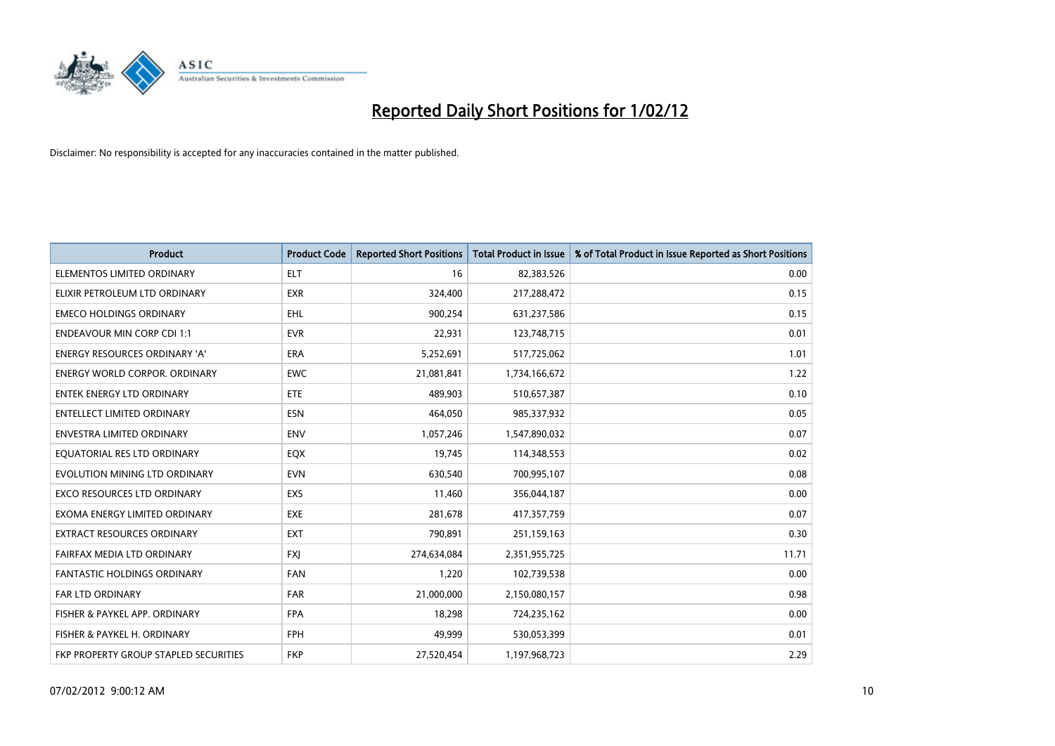

| <b>Product</b>                        | <b>Product Code</b> | <b>Reported Short Positions</b> | <b>Total Product in Issue</b> | % of Total Product in Issue Reported as Short Positions |
|---------------------------------------|---------------------|---------------------------------|-------------------------------|---------------------------------------------------------|
| ELEMENTOS LIMITED ORDINARY            | <b>ELT</b>          | 16                              | 82,383,526                    | 0.00                                                    |
| ELIXIR PETROLEUM LTD ORDINARY         | <b>EXR</b>          | 324,400                         | 217,288,472                   | 0.15                                                    |
| <b>EMECO HOLDINGS ORDINARY</b>        | <b>EHL</b>          | 900,254                         | 631,237,586                   | 0.15                                                    |
| <b>ENDEAVOUR MIN CORP CDI 1:1</b>     | <b>EVR</b>          | 22,931                          | 123,748,715                   | 0.01                                                    |
| <b>ENERGY RESOURCES ORDINARY 'A'</b>  | ERA                 | 5,252,691                       | 517,725,062                   | 1.01                                                    |
| <b>ENERGY WORLD CORPOR, ORDINARY</b>  | <b>EWC</b>          | 21,081,841                      | 1,734,166,672                 | 1.22                                                    |
| <b>ENTEK ENERGY LTD ORDINARY</b>      | ETE                 | 489,903                         | 510,657,387                   | 0.10                                                    |
| ENTELLECT LIMITED ORDINARY            | <b>ESN</b>          | 464,050                         | 985,337,932                   | 0.05                                                    |
| <b>ENVESTRA LIMITED ORDINARY</b>      | <b>ENV</b>          | 1,057,246                       | 1,547,890,032                 | 0.07                                                    |
| EQUATORIAL RES LTD ORDINARY           | EQX                 | 19,745                          | 114,348,553                   | 0.02                                                    |
| EVOLUTION MINING LTD ORDINARY         | <b>EVN</b>          | 630,540                         | 700,995,107                   | 0.08                                                    |
| <b>EXCO RESOURCES LTD ORDINARY</b>    | EXS                 | 11,460                          | 356,044,187                   | 0.00                                                    |
| EXOMA ENERGY LIMITED ORDINARY         | <b>EXE</b>          | 281,678                         | 417,357,759                   | 0.07                                                    |
| <b>EXTRACT RESOURCES ORDINARY</b>     | <b>EXT</b>          | 790,891                         | 251,159,163                   | 0.30                                                    |
| FAIRFAX MEDIA LTD ORDINARY            | <b>FXJ</b>          | 274,634,084                     | 2,351,955,725                 | 11.71                                                   |
| FANTASTIC HOLDINGS ORDINARY           | <b>FAN</b>          | 1,220                           | 102,739,538                   | 0.00                                                    |
| FAR LTD ORDINARY                      | <b>FAR</b>          | 21,000,000                      | 2,150,080,157                 | 0.98                                                    |
| FISHER & PAYKEL APP. ORDINARY         | <b>FPA</b>          | 18,298                          | 724,235,162                   | 0.00                                                    |
| FISHER & PAYKEL H. ORDINARY           | <b>FPH</b>          | 49,999                          | 530,053,399                   | 0.01                                                    |
| FKP PROPERTY GROUP STAPLED SECURITIES | <b>FKP</b>          | 27,520,454                      | 1,197,968,723                 | 2.29                                                    |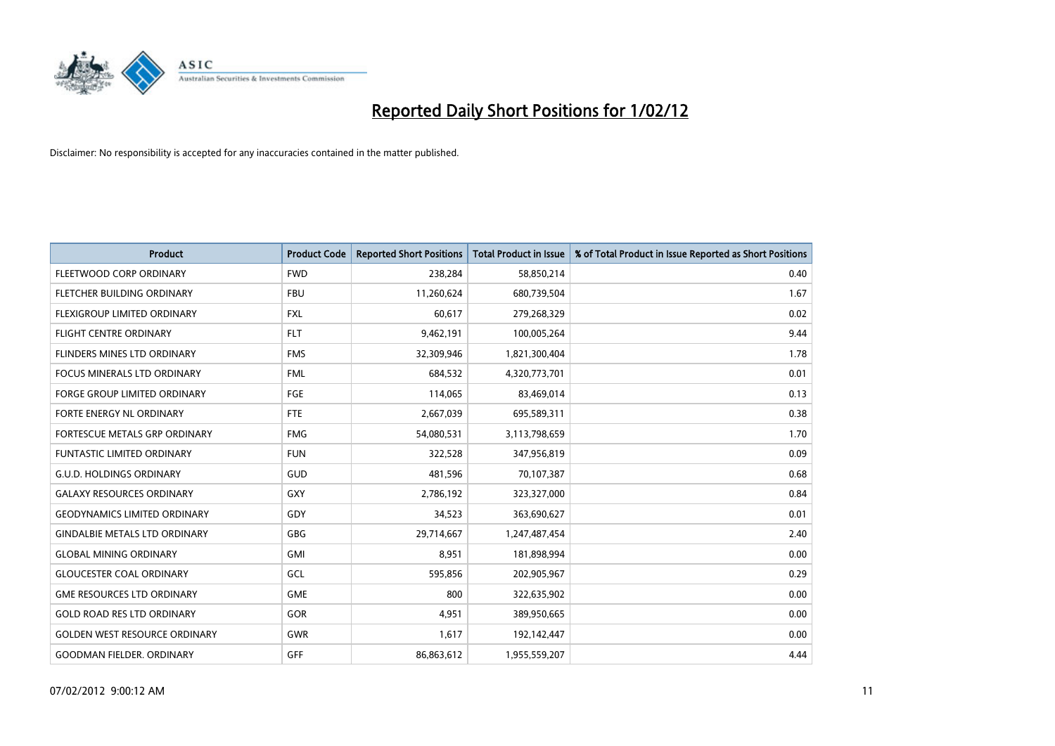

| <b>Product</b>                       | <b>Product Code</b> | <b>Reported Short Positions</b> | <b>Total Product in Issue</b> | % of Total Product in Issue Reported as Short Positions |
|--------------------------------------|---------------------|---------------------------------|-------------------------------|---------------------------------------------------------|
| FLEETWOOD CORP ORDINARY              | <b>FWD</b>          | 238,284                         | 58,850,214                    | 0.40                                                    |
| FLETCHER BUILDING ORDINARY           | <b>FBU</b>          | 11,260,624                      | 680,739,504                   | 1.67                                                    |
| FLEXIGROUP LIMITED ORDINARY          | <b>FXL</b>          | 60,617                          | 279,268,329                   | 0.02                                                    |
| <b>FLIGHT CENTRE ORDINARY</b>        | <b>FLT</b>          | 9,462,191                       | 100,005,264                   | 9.44                                                    |
| FLINDERS MINES LTD ORDINARY          | <b>FMS</b>          | 32,309,946                      | 1,821,300,404                 | 1.78                                                    |
| <b>FOCUS MINERALS LTD ORDINARY</b>   | <b>FML</b>          | 684,532                         | 4,320,773,701                 | 0.01                                                    |
| <b>FORGE GROUP LIMITED ORDINARY</b>  | FGE                 | 114,065                         | 83,469,014                    | 0.13                                                    |
| FORTE ENERGY NL ORDINARY             | FTE                 | 2,667,039                       | 695,589,311                   | 0.38                                                    |
| FORTESCUE METALS GRP ORDINARY        | <b>FMG</b>          | 54,080,531                      | 3,113,798,659                 | 1.70                                                    |
| <b>FUNTASTIC LIMITED ORDINARY</b>    | <b>FUN</b>          | 322,528                         | 347,956,819                   | 0.09                                                    |
| <b>G.U.D. HOLDINGS ORDINARY</b>      | GUD                 | 481,596                         | 70,107,387                    | 0.68                                                    |
| <b>GALAXY RESOURCES ORDINARY</b>     | GXY                 | 2,786,192                       | 323,327,000                   | 0.84                                                    |
| <b>GEODYNAMICS LIMITED ORDINARY</b>  | GDY                 | 34,523                          | 363,690,627                   | 0.01                                                    |
| <b>GINDALBIE METALS LTD ORDINARY</b> | GBG                 | 29,714,667                      | 1,247,487,454                 | 2.40                                                    |
| <b>GLOBAL MINING ORDINARY</b>        | <b>GMI</b>          | 8,951                           | 181,898,994                   | 0.00                                                    |
| <b>GLOUCESTER COAL ORDINARY</b>      | GCL                 | 595,856                         | 202,905,967                   | 0.29                                                    |
| <b>GME RESOURCES LTD ORDINARY</b>    | <b>GME</b>          | 800                             | 322,635,902                   | 0.00                                                    |
| <b>GOLD ROAD RES LTD ORDINARY</b>    | GOR                 | 4,951                           | 389,950,665                   | 0.00                                                    |
| <b>GOLDEN WEST RESOURCE ORDINARY</b> | <b>GWR</b>          | 1,617                           | 192,142,447                   | 0.00                                                    |
| <b>GOODMAN FIELDER. ORDINARY</b>     | GFF                 | 86,863,612                      | 1,955,559,207                 | 4.44                                                    |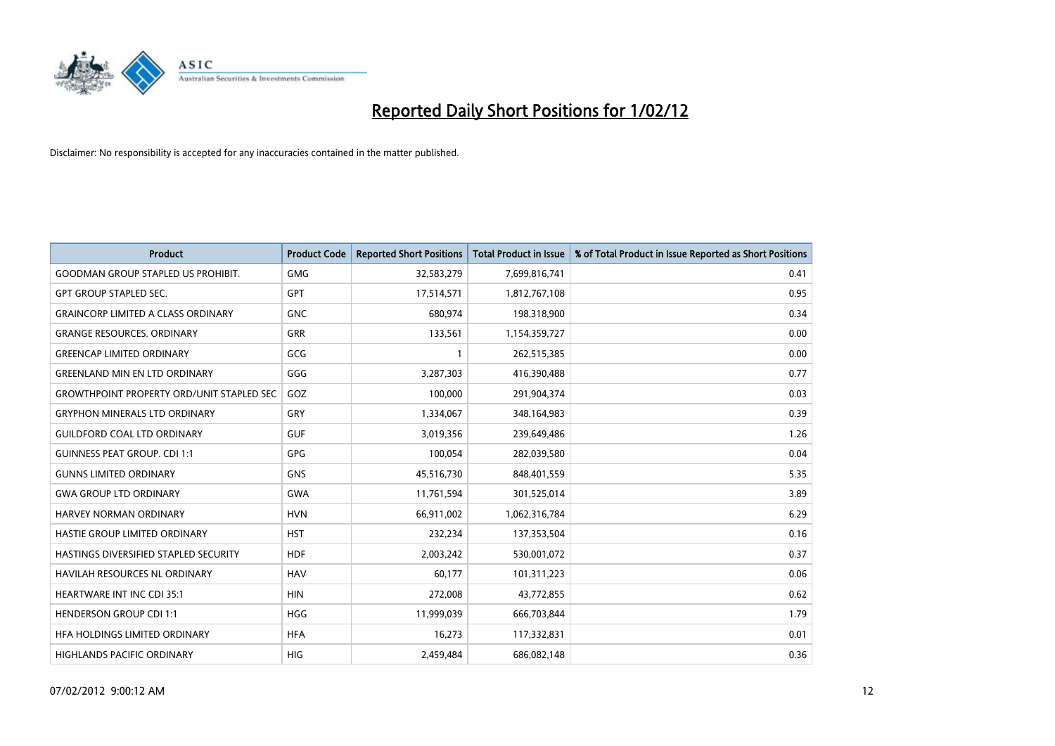

| <b>Product</b>                                   | <b>Product Code</b> | <b>Reported Short Positions</b> | <b>Total Product in Issue</b> | % of Total Product in Issue Reported as Short Positions |
|--------------------------------------------------|---------------------|---------------------------------|-------------------------------|---------------------------------------------------------|
| <b>GOODMAN GROUP STAPLED US PROHIBIT.</b>        | <b>GMG</b>          | 32,583,279                      | 7,699,816,741                 | 0.41                                                    |
| <b>GPT GROUP STAPLED SEC.</b>                    | <b>GPT</b>          | 17,514,571                      | 1,812,767,108                 | 0.95                                                    |
| <b>GRAINCORP LIMITED A CLASS ORDINARY</b>        | <b>GNC</b>          | 680,974                         | 198,318,900                   | 0.34                                                    |
| <b>GRANGE RESOURCES, ORDINARY</b>                | <b>GRR</b>          | 133,561                         | 1,154,359,727                 | 0.00                                                    |
| <b>GREENCAP LIMITED ORDINARY</b>                 | GCG                 | 1                               | 262,515,385                   | 0.00                                                    |
| <b>GREENLAND MIN EN LTD ORDINARY</b>             | GGG                 | 3,287,303                       | 416,390,488                   | 0.77                                                    |
| <b>GROWTHPOINT PROPERTY ORD/UNIT STAPLED SEC</b> | GOZ                 | 100,000                         | 291,904,374                   | 0.03                                                    |
| <b>GRYPHON MINERALS LTD ORDINARY</b>             | GRY                 | 1,334,067                       | 348,164,983                   | 0.39                                                    |
| <b>GUILDFORD COAL LTD ORDINARY</b>               | <b>GUF</b>          | 3,019,356                       | 239,649,486                   | 1.26                                                    |
| <b>GUINNESS PEAT GROUP. CDI 1:1</b>              | <b>GPG</b>          | 100,054                         | 282,039,580                   | 0.04                                                    |
| <b>GUNNS LIMITED ORDINARY</b>                    | <b>GNS</b>          | 45,516,730                      | 848,401,559                   | 5.35                                                    |
| <b>GWA GROUP LTD ORDINARY</b>                    | GWA                 | 11,761,594                      | 301,525,014                   | 3.89                                                    |
| HARVEY NORMAN ORDINARY                           | <b>HVN</b>          | 66,911,002                      | 1,062,316,784                 | 6.29                                                    |
| HASTIE GROUP LIMITED ORDINARY                    | <b>HST</b>          | 232,234                         | 137,353,504                   | 0.16                                                    |
| HASTINGS DIVERSIFIED STAPLED SECURITY            | <b>HDF</b>          | 2,003,242                       | 530,001,072                   | 0.37                                                    |
| HAVILAH RESOURCES NL ORDINARY                    | <b>HAV</b>          | 60,177                          | 101,311,223                   | 0.06                                                    |
| HEARTWARE INT INC CDI 35:1                       | <b>HIN</b>          | 272,008                         | 43,772,855                    | 0.62                                                    |
| <b>HENDERSON GROUP CDI 1:1</b>                   | <b>HGG</b>          | 11,999,039                      | 666,703,844                   | 1.79                                                    |
| HFA HOLDINGS LIMITED ORDINARY                    | <b>HFA</b>          | 16,273                          | 117,332,831                   | 0.01                                                    |
| <b>HIGHLANDS PACIFIC ORDINARY</b>                | <b>HIG</b>          | 2,459,484                       | 686,082,148                   | 0.36                                                    |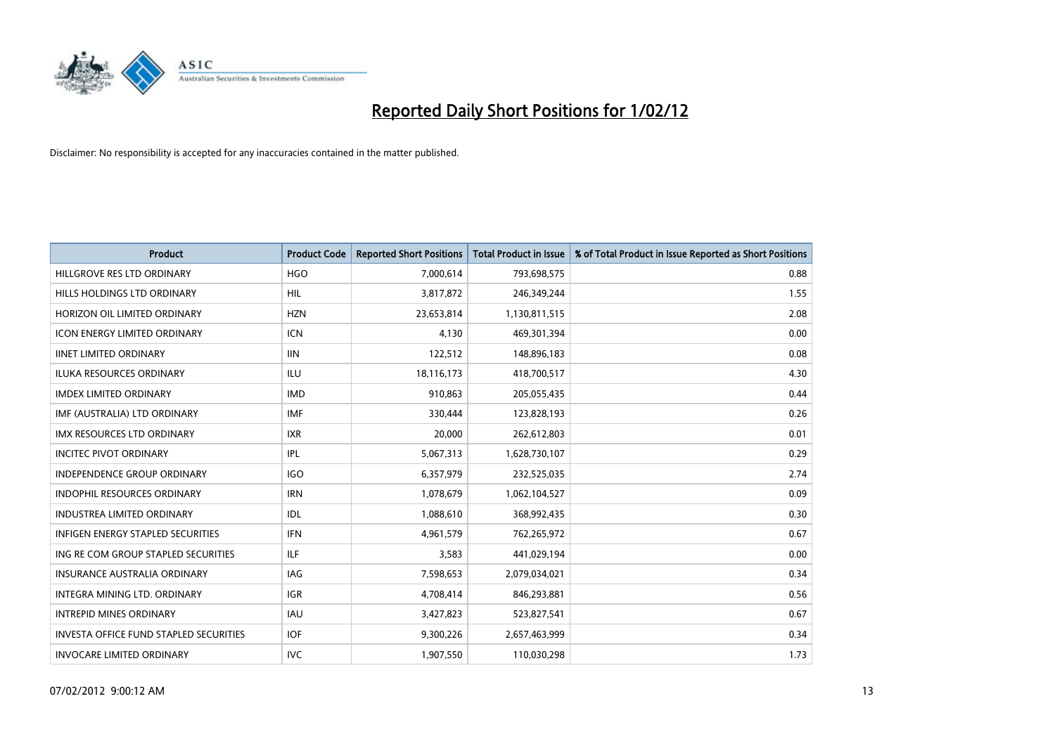

| <b>Product</b>                                | <b>Product Code</b> | <b>Reported Short Positions</b> | <b>Total Product in Issue</b> | % of Total Product in Issue Reported as Short Positions |
|-----------------------------------------------|---------------------|---------------------------------|-------------------------------|---------------------------------------------------------|
| HILLGROVE RES LTD ORDINARY                    | <b>HGO</b>          | 7,000,614                       | 793,698,575                   | 0.88                                                    |
| HILLS HOLDINGS LTD ORDINARY                   | HIL                 | 3,817,872                       | 246,349,244                   | 1.55                                                    |
| HORIZON OIL LIMITED ORDINARY                  | <b>HZN</b>          | 23,653,814                      | 1,130,811,515                 | 2.08                                                    |
| <b>ICON ENERGY LIMITED ORDINARY</b>           | <b>ICN</b>          | 4,130                           | 469,301,394                   | 0.00                                                    |
| <b>IINET LIMITED ORDINARY</b>                 | <b>IIN</b>          | 122,512                         | 148,896,183                   | 0.08                                                    |
| <b>ILUKA RESOURCES ORDINARY</b>               | <b>ILU</b>          | 18,116,173                      | 418,700,517                   | 4.30                                                    |
| <b>IMDEX LIMITED ORDINARY</b>                 | <b>IMD</b>          | 910,863                         | 205,055,435                   | 0.44                                                    |
| IMF (AUSTRALIA) LTD ORDINARY                  | <b>IMF</b>          | 330,444                         | 123,828,193                   | 0.26                                                    |
| <b>IMX RESOURCES LTD ORDINARY</b>             | <b>IXR</b>          | 20,000                          | 262,612,803                   | 0.01                                                    |
| <b>INCITEC PIVOT ORDINARY</b>                 | <b>IPL</b>          | 5,067,313                       | 1,628,730,107                 | 0.29                                                    |
| INDEPENDENCE GROUP ORDINARY                   | <b>IGO</b>          | 6,357,979                       | 232,525,035                   | 2.74                                                    |
| <b>INDOPHIL RESOURCES ORDINARY</b>            | <b>IRN</b>          | 1,078,679                       | 1,062,104,527                 | 0.09                                                    |
| <b>INDUSTREA LIMITED ORDINARY</b>             | <b>IDL</b>          | 1,088,610                       | 368,992,435                   | 0.30                                                    |
| <b>INFIGEN ENERGY STAPLED SECURITIES</b>      | <b>IFN</b>          | 4,961,579                       | 762,265,972                   | 0.67                                                    |
| ING RE COM GROUP STAPLED SECURITIES           | ILF.                | 3,583                           | 441,029,194                   | 0.00                                                    |
| <b>INSURANCE AUSTRALIA ORDINARY</b>           | IAG                 | 7,598,653                       | 2,079,034,021                 | 0.34                                                    |
| INTEGRA MINING LTD. ORDINARY                  | <b>IGR</b>          | 4,708,414                       | 846,293,881                   | 0.56                                                    |
| <b>INTREPID MINES ORDINARY</b>                | <b>IAU</b>          | 3,427,823                       | 523,827,541                   | 0.67                                                    |
| <b>INVESTA OFFICE FUND STAPLED SECURITIES</b> | <b>IOF</b>          | 9,300,226                       | 2,657,463,999                 | 0.34                                                    |
| <b>INVOCARE LIMITED ORDINARY</b>              | <b>IVC</b>          | 1,907,550                       | 110,030,298                   | 1.73                                                    |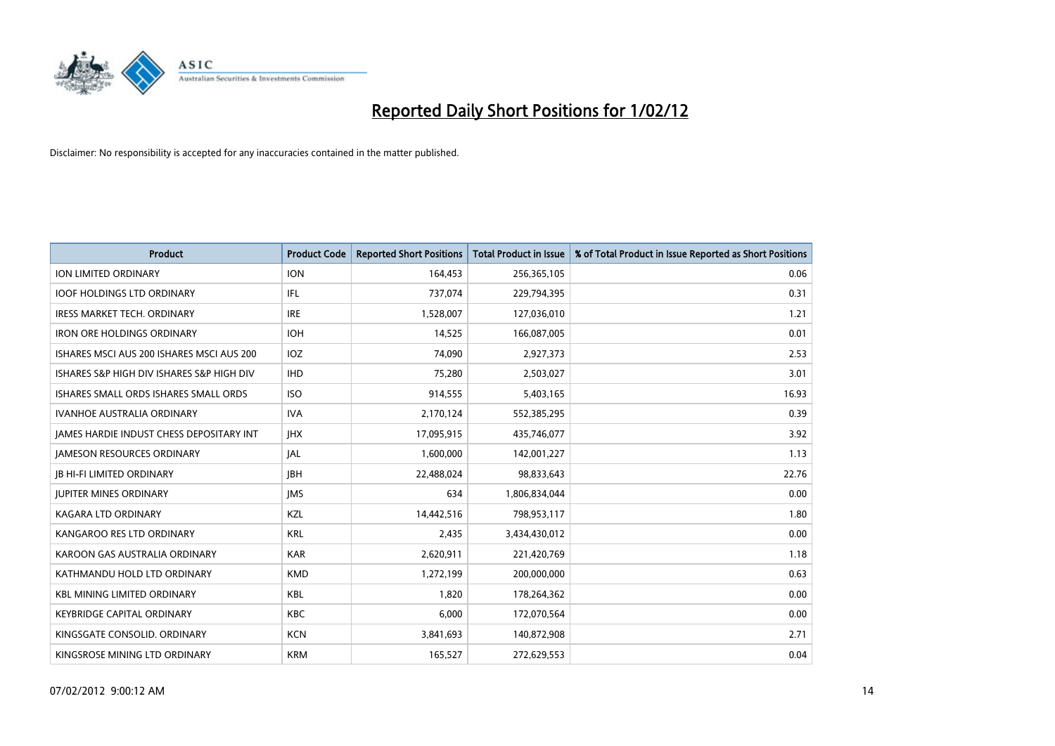

| <b>Product</b>                            | <b>Product Code</b> | <b>Reported Short Positions</b> | <b>Total Product in Issue</b> | % of Total Product in Issue Reported as Short Positions |
|-------------------------------------------|---------------------|---------------------------------|-------------------------------|---------------------------------------------------------|
| <b>ION LIMITED ORDINARY</b>               | <b>ION</b>          | 164,453                         | 256,365,105                   | 0.06                                                    |
| <b>IOOF HOLDINGS LTD ORDINARY</b>         | IFL                 | 737,074                         | 229,794,395                   | 0.31                                                    |
| <b>IRESS MARKET TECH. ORDINARY</b>        | <b>IRE</b>          | 1,528,007                       | 127,036,010                   | 1.21                                                    |
| <b>IRON ORE HOLDINGS ORDINARY</b>         | <b>IOH</b>          | 14,525                          | 166,087,005                   | 0.01                                                    |
| ISHARES MSCI AUS 200 ISHARES MSCI AUS 200 | IOZ                 | 74,090                          | 2,927,373                     | 2.53                                                    |
| ISHARES S&P HIGH DIV ISHARES S&P HIGH DIV | <b>IHD</b>          | 75,280                          | 2,503,027                     | 3.01                                                    |
| ISHARES SMALL ORDS ISHARES SMALL ORDS     | <b>ISO</b>          | 914,555                         | 5,403,165                     | 16.93                                                   |
| <b>IVANHOE AUSTRALIA ORDINARY</b>         | <b>IVA</b>          | 2,170,124                       | 552,385,295                   | 0.39                                                    |
| JAMES HARDIE INDUST CHESS DEPOSITARY INT  | <b>IHX</b>          | 17,095,915                      | 435,746,077                   | 3.92                                                    |
| <b>JAMESON RESOURCES ORDINARY</b>         | <b>JAL</b>          | 1,600,000                       | 142,001,227                   | 1.13                                                    |
| <b>JB HI-FI LIMITED ORDINARY</b>          | <b>JBH</b>          | 22,488,024                      | 98,833,643                    | 22.76                                                   |
| <b>JUPITER MINES ORDINARY</b>             | <b>IMS</b>          | 634                             | 1,806,834,044                 | 0.00                                                    |
| <b>KAGARA LTD ORDINARY</b>                | <b>KZL</b>          | 14,442,516                      | 798,953,117                   | 1.80                                                    |
| KANGAROO RES LTD ORDINARY                 | <b>KRL</b>          | 2,435                           | 3,434,430,012                 | 0.00                                                    |
| KAROON GAS AUSTRALIA ORDINARY             | <b>KAR</b>          | 2,620,911                       | 221,420,769                   | 1.18                                                    |
| KATHMANDU HOLD LTD ORDINARY               | <b>KMD</b>          | 1,272,199                       | 200,000,000                   | 0.63                                                    |
| <b>KBL MINING LIMITED ORDINARY</b>        | KBL                 | 1,820                           | 178,264,362                   | 0.00                                                    |
| <b>KEYBRIDGE CAPITAL ORDINARY</b>         | <b>KBC</b>          | 6,000                           | 172,070,564                   | 0.00                                                    |
| KINGSGATE CONSOLID, ORDINARY              | <b>KCN</b>          | 3,841,693                       | 140,872,908                   | 2.71                                                    |
| KINGSROSE MINING LTD ORDINARY             | <b>KRM</b>          | 165,527                         | 272,629,553                   | 0.04                                                    |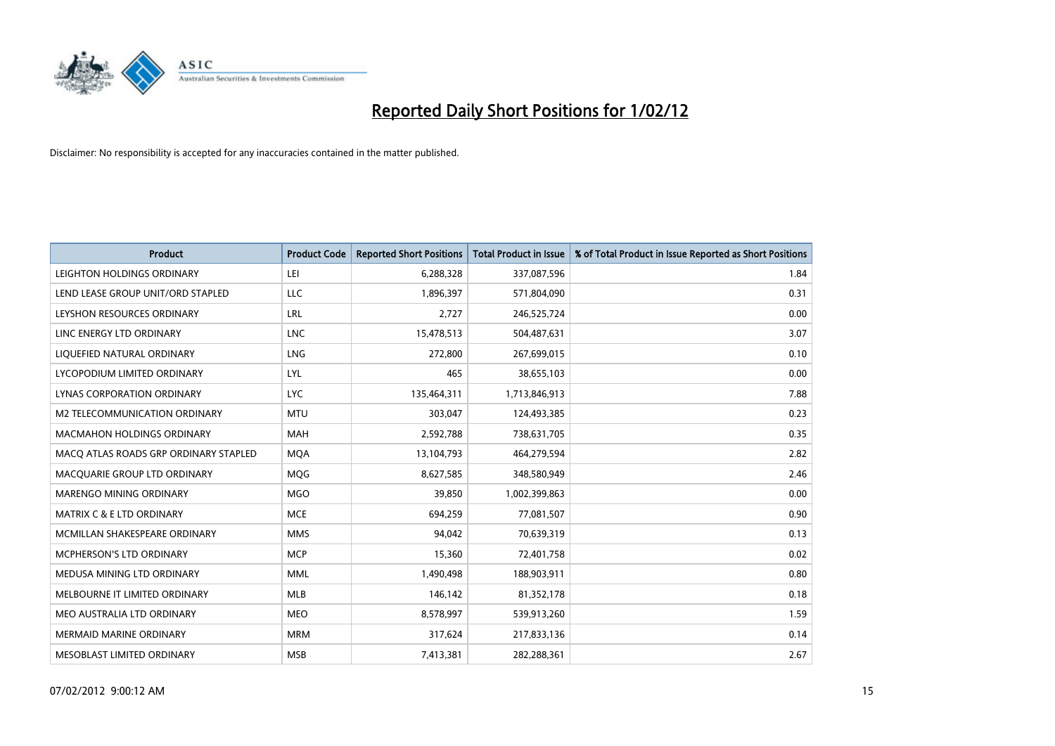

| <b>Product</b>                        | <b>Product Code</b> | <b>Reported Short Positions</b> | <b>Total Product in Issue</b> | % of Total Product in Issue Reported as Short Positions |
|---------------------------------------|---------------------|---------------------------------|-------------------------------|---------------------------------------------------------|
| LEIGHTON HOLDINGS ORDINARY            | LEI                 | 6,288,328                       | 337,087,596                   | 1.84                                                    |
| LEND LEASE GROUP UNIT/ORD STAPLED     | LLC                 | 1,896,397                       | 571,804,090                   | 0.31                                                    |
| LEYSHON RESOURCES ORDINARY            | LRL                 | 2,727                           | 246,525,724                   | 0.00                                                    |
| LINC ENERGY LTD ORDINARY              | <b>LNC</b>          | 15,478,513                      | 504,487,631                   | 3.07                                                    |
| LIQUEFIED NATURAL ORDINARY            | <b>LNG</b>          | 272,800                         | 267,699,015                   | 0.10                                                    |
| LYCOPODIUM LIMITED ORDINARY           | LYL                 | 465                             | 38,655,103                    | 0.00                                                    |
| LYNAS CORPORATION ORDINARY            | <b>LYC</b>          | 135,464,311                     | 1,713,846,913                 | 7.88                                                    |
| M2 TELECOMMUNICATION ORDINARY         | <b>MTU</b>          | 303,047                         | 124,493,385                   | 0.23                                                    |
| <b>MACMAHON HOLDINGS ORDINARY</b>     | <b>MAH</b>          | 2,592,788                       | 738,631,705                   | 0.35                                                    |
| MACO ATLAS ROADS GRP ORDINARY STAPLED | <b>MQA</b>          | 13,104,793                      | 464,279,594                   | 2.82                                                    |
| MACQUARIE GROUP LTD ORDINARY          | MQG                 | 8,627,585                       | 348,580,949                   | 2.46                                                    |
| MARENGO MINING ORDINARY               | <b>MGO</b>          | 39,850                          | 1,002,399,863                 | 0.00                                                    |
| <b>MATRIX C &amp; E LTD ORDINARY</b>  | <b>MCE</b>          | 694,259                         | 77,081,507                    | 0.90                                                    |
| MCMILLAN SHAKESPEARE ORDINARY         | <b>MMS</b>          | 94,042                          | 70,639,319                    | 0.13                                                    |
| MCPHERSON'S LTD ORDINARY              | <b>MCP</b>          | 15,360                          | 72,401,758                    | 0.02                                                    |
| MEDUSA MINING LTD ORDINARY            | <b>MML</b>          | 1,490,498                       | 188,903,911                   | 0.80                                                    |
| MELBOURNE IT LIMITED ORDINARY         | MLB                 | 146,142                         | 81,352,178                    | 0.18                                                    |
| MEO AUSTRALIA LTD ORDINARY            | <b>MEO</b>          | 8,578,997                       | 539,913,260                   | 1.59                                                    |
| MERMAID MARINE ORDINARY               | <b>MRM</b>          | 317,624                         | 217,833,136                   | 0.14                                                    |
| MESOBLAST LIMITED ORDINARY            | <b>MSB</b>          | 7,413,381                       | 282,288,361                   | 2.67                                                    |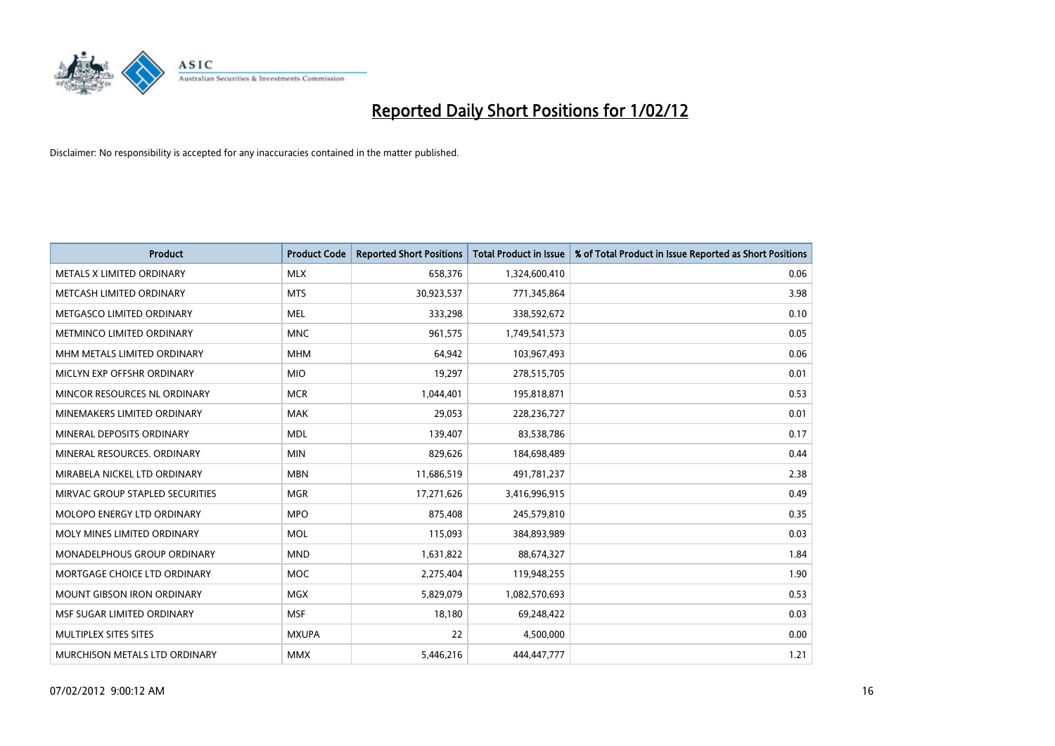

| <b>Product</b>                  | <b>Product Code</b> | <b>Reported Short Positions</b> | <b>Total Product in Issue</b> | % of Total Product in Issue Reported as Short Positions |
|---------------------------------|---------------------|---------------------------------|-------------------------------|---------------------------------------------------------|
| METALS X LIMITED ORDINARY       | <b>MLX</b>          | 658,376                         | 1,324,600,410                 | 0.06                                                    |
| METCASH LIMITED ORDINARY        | <b>MTS</b>          | 30,923,537                      | 771,345,864                   | 3.98                                                    |
| METGASCO LIMITED ORDINARY       | <b>MEL</b>          | 333,298                         | 338,592,672                   | 0.10                                                    |
| METMINCO LIMITED ORDINARY       | <b>MNC</b>          | 961,575                         | 1,749,541,573                 | 0.05                                                    |
| MHM METALS LIMITED ORDINARY     | <b>MHM</b>          | 64,942                          | 103,967,493                   | 0.06                                                    |
| MICLYN EXP OFFSHR ORDINARY      | <b>MIO</b>          | 19,297                          | 278,515,705                   | 0.01                                                    |
| MINCOR RESOURCES NL ORDINARY    | <b>MCR</b>          | 1,044,401                       | 195,818,871                   | 0.53                                                    |
| MINEMAKERS LIMITED ORDINARY     | <b>MAK</b>          | 29,053                          | 228,236,727                   | 0.01                                                    |
| MINERAL DEPOSITS ORDINARY       | <b>MDL</b>          | 139,407                         | 83,538,786                    | 0.17                                                    |
| MINERAL RESOURCES, ORDINARY     | <b>MIN</b>          | 829,626                         | 184,698,489                   | 0.44                                                    |
| MIRABELA NICKEL LTD ORDINARY    | <b>MBN</b>          | 11,686,519                      | 491,781,237                   | 2.38                                                    |
| MIRVAC GROUP STAPLED SECURITIES | <b>MGR</b>          | 17,271,626                      | 3,416,996,915                 | 0.49                                                    |
| MOLOPO ENERGY LTD ORDINARY      | <b>MPO</b>          | 875,408                         | 245,579,810                   | 0.35                                                    |
| MOLY MINES LIMITED ORDINARY     | <b>MOL</b>          | 115,093                         | 384,893,989                   | 0.03                                                    |
| MONADELPHOUS GROUP ORDINARY     | <b>MND</b>          | 1,631,822                       | 88,674,327                    | 1.84                                                    |
| MORTGAGE CHOICE LTD ORDINARY    | <b>MOC</b>          | 2,275,404                       | 119,948,255                   | 1.90                                                    |
| MOUNT GIBSON IRON ORDINARY      | <b>MGX</b>          | 5,829,079                       | 1,082,570,693                 | 0.53                                                    |
| MSF SUGAR LIMITED ORDINARY      | <b>MSF</b>          | 18,180                          | 69,248,422                    | 0.03                                                    |
| MULTIPLEX SITES SITES           | <b>MXUPA</b>        | 22                              | 4,500,000                     | 0.00                                                    |
| MURCHISON METALS LTD ORDINARY   | <b>MMX</b>          | 5,446,216                       | 444,447,777                   | 1.21                                                    |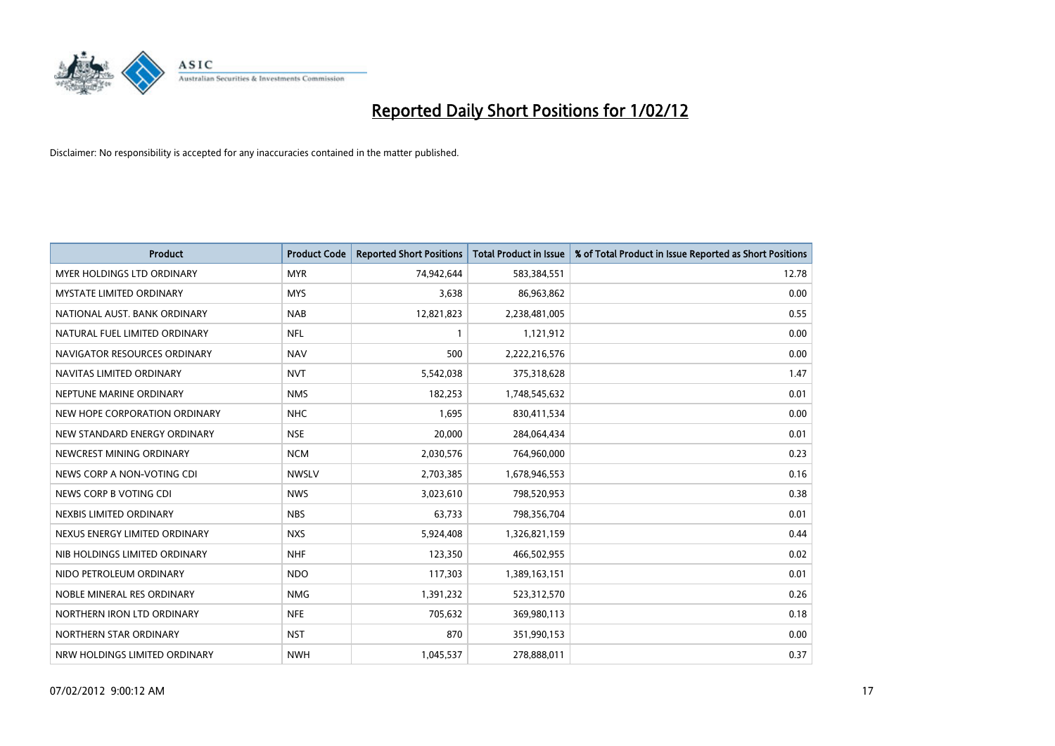

| <b>Product</b>                    | <b>Product Code</b> | <b>Reported Short Positions</b> | <b>Total Product in Issue</b> | % of Total Product in Issue Reported as Short Positions |
|-----------------------------------|---------------------|---------------------------------|-------------------------------|---------------------------------------------------------|
| <b>MYER HOLDINGS LTD ORDINARY</b> | <b>MYR</b>          | 74,942,644                      | 583,384,551                   | 12.78                                                   |
| <b>MYSTATE LIMITED ORDINARY</b>   | <b>MYS</b>          | 3,638                           | 86,963,862                    | 0.00                                                    |
| NATIONAL AUST. BANK ORDINARY      | <b>NAB</b>          | 12,821,823                      | 2,238,481,005                 | 0.55                                                    |
| NATURAL FUEL LIMITED ORDINARY     | <b>NFL</b>          | $\mathbf{1}$                    | 1,121,912                     | 0.00                                                    |
| NAVIGATOR RESOURCES ORDINARY      | <b>NAV</b>          | 500                             | 2,222,216,576                 | 0.00                                                    |
| NAVITAS LIMITED ORDINARY          | <b>NVT</b>          | 5,542,038                       | 375,318,628                   | 1.47                                                    |
| NEPTUNE MARINE ORDINARY           | <b>NMS</b>          | 182,253                         | 1,748,545,632                 | 0.01                                                    |
| NEW HOPE CORPORATION ORDINARY     | <b>NHC</b>          | 1,695                           | 830,411,534                   | 0.00                                                    |
| NEW STANDARD ENERGY ORDINARY      | <b>NSE</b>          | 20,000                          | 284,064,434                   | 0.01                                                    |
| NEWCREST MINING ORDINARY          | <b>NCM</b>          | 2,030,576                       | 764,960,000                   | 0.23                                                    |
| NEWS CORP A NON-VOTING CDI        | <b>NWSLV</b>        | 2,703,385                       | 1,678,946,553                 | 0.16                                                    |
| NEWS CORP B VOTING CDI            | <b>NWS</b>          | 3,023,610                       | 798,520,953                   | 0.38                                                    |
| NEXBIS LIMITED ORDINARY           | <b>NBS</b>          | 63,733                          | 798,356,704                   | 0.01                                                    |
| NEXUS ENERGY LIMITED ORDINARY     | <b>NXS</b>          | 5,924,408                       | 1,326,821,159                 | 0.44                                                    |
| NIB HOLDINGS LIMITED ORDINARY     | <b>NHF</b>          | 123,350                         | 466,502,955                   | 0.02                                                    |
| NIDO PETROLEUM ORDINARY           | <b>NDO</b>          | 117,303                         | 1,389,163,151                 | 0.01                                                    |
| NOBLE MINERAL RES ORDINARY        | <b>NMG</b>          | 1,391,232                       | 523,312,570                   | 0.26                                                    |
| NORTHERN IRON LTD ORDINARY        | <b>NFE</b>          | 705,632                         | 369,980,113                   | 0.18                                                    |
| NORTHERN STAR ORDINARY            | <b>NST</b>          | 870                             | 351,990,153                   | 0.00                                                    |
| NRW HOLDINGS LIMITED ORDINARY     | <b>NWH</b>          | 1,045,537                       | 278,888,011                   | 0.37                                                    |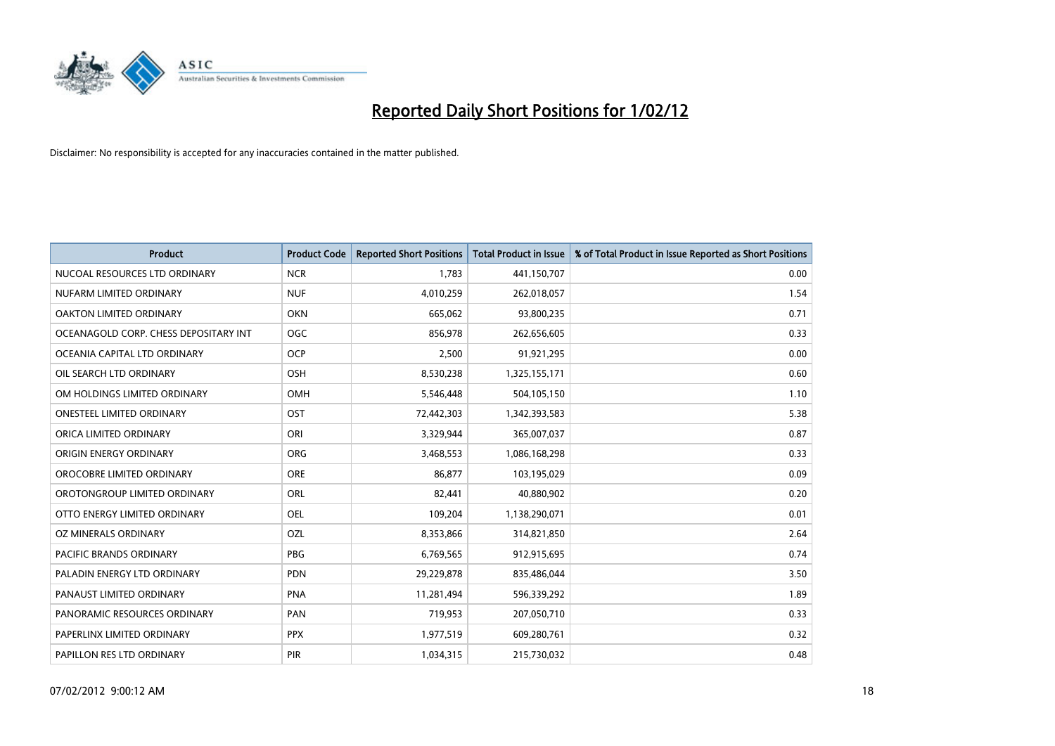

| <b>Product</b>                        | <b>Product Code</b> | <b>Reported Short Positions</b> | <b>Total Product in Issue</b> | % of Total Product in Issue Reported as Short Positions |
|---------------------------------------|---------------------|---------------------------------|-------------------------------|---------------------------------------------------------|
| NUCOAL RESOURCES LTD ORDINARY         | <b>NCR</b>          | 1,783                           | 441,150,707                   | 0.00                                                    |
| NUFARM LIMITED ORDINARY               | <b>NUF</b>          | 4,010,259                       | 262,018,057                   | 1.54                                                    |
| OAKTON LIMITED ORDINARY               | <b>OKN</b>          | 665,062                         | 93,800,235                    | 0.71                                                    |
| OCEANAGOLD CORP. CHESS DEPOSITARY INT | <b>OGC</b>          | 856,978                         | 262,656,605                   | 0.33                                                    |
| OCEANIA CAPITAL LTD ORDINARY          | <b>OCP</b>          | 2,500                           | 91,921,295                    | 0.00                                                    |
| OIL SEARCH LTD ORDINARY               | OSH                 | 8,530,238                       | 1,325,155,171                 | 0.60                                                    |
| OM HOLDINGS LIMITED ORDINARY          | OMH                 | 5,546,448                       | 504,105,150                   | 1.10                                                    |
| ONESTEEL LIMITED ORDINARY             | OST                 | 72,442,303                      | 1,342,393,583                 | 5.38                                                    |
| ORICA LIMITED ORDINARY                | ORI                 | 3,329,944                       | 365,007,037                   | 0.87                                                    |
| ORIGIN ENERGY ORDINARY                | <b>ORG</b>          | 3,468,553                       | 1,086,168,298                 | 0.33                                                    |
| OROCOBRE LIMITED ORDINARY             | <b>ORE</b>          | 86,877                          | 103,195,029                   | 0.09                                                    |
| OROTONGROUP LIMITED ORDINARY          | <b>ORL</b>          | 82,441                          | 40,880,902                    | 0.20                                                    |
| OTTO ENERGY LIMITED ORDINARY          | <b>OEL</b>          | 109,204                         | 1,138,290,071                 | 0.01                                                    |
| <b>OZ MINERALS ORDINARY</b>           | OZL                 | 8,353,866                       | 314,821,850                   | 2.64                                                    |
| <b>PACIFIC BRANDS ORDINARY</b>        | <b>PBG</b>          | 6,769,565                       | 912,915,695                   | 0.74                                                    |
| PALADIN ENERGY LTD ORDINARY           | <b>PDN</b>          | 29,229,878                      | 835,486,044                   | 3.50                                                    |
| PANAUST LIMITED ORDINARY              | <b>PNA</b>          | 11,281,494                      | 596,339,292                   | 1.89                                                    |
| PANORAMIC RESOURCES ORDINARY          | PAN                 | 719,953                         | 207,050,710                   | 0.33                                                    |
| PAPERLINX LIMITED ORDINARY            | <b>PPX</b>          | 1,977,519                       | 609,280,761                   | 0.32                                                    |
| PAPILLON RES LTD ORDINARY             | <b>PIR</b>          | 1,034,315                       | 215,730,032                   | 0.48                                                    |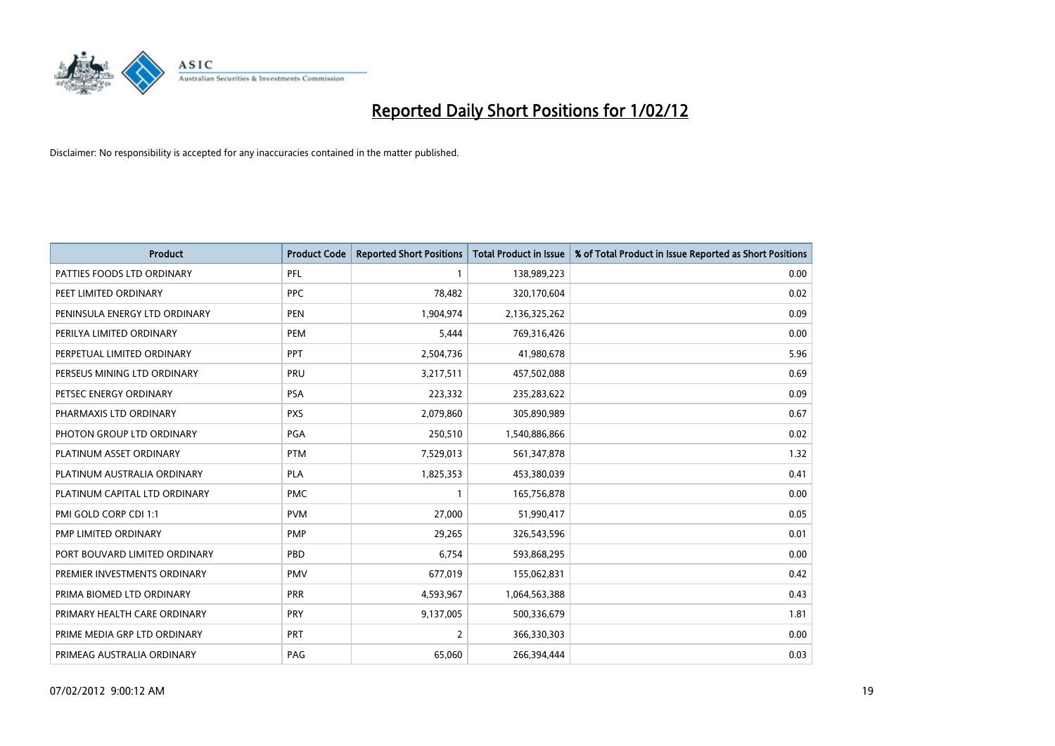

| <b>Product</b>                | <b>Product Code</b> | <b>Reported Short Positions</b> | <b>Total Product in Issue</b> | % of Total Product in Issue Reported as Short Positions |
|-------------------------------|---------------------|---------------------------------|-------------------------------|---------------------------------------------------------|
| PATTIES FOODS LTD ORDINARY    | PFL                 | 1                               | 138,989,223                   | 0.00                                                    |
| PEET LIMITED ORDINARY         | <b>PPC</b>          | 78,482                          | 320,170,604                   | 0.02                                                    |
| PENINSULA ENERGY LTD ORDINARY | <b>PEN</b>          | 1,904,974                       | 2,136,325,262                 | 0.09                                                    |
| PERILYA LIMITED ORDINARY      | <b>PEM</b>          | 5,444                           | 769,316,426                   | 0.00                                                    |
| PERPETUAL LIMITED ORDINARY    | PPT                 | 2,504,736                       | 41,980,678                    | 5.96                                                    |
| PERSEUS MINING LTD ORDINARY   | PRU                 | 3,217,511                       | 457,502,088                   | 0.69                                                    |
| PETSEC ENERGY ORDINARY        | <b>PSA</b>          | 223,332                         | 235,283,622                   | 0.09                                                    |
| PHARMAXIS LTD ORDINARY        | <b>PXS</b>          | 2,079,860                       | 305,890,989                   | 0.67                                                    |
| PHOTON GROUP LTD ORDINARY     | PGA                 | 250,510                         | 1,540,886,866                 | 0.02                                                    |
| PLATINUM ASSET ORDINARY       | <b>PTM</b>          | 7,529,013                       | 561,347,878                   | 1.32                                                    |
| PLATINUM AUSTRALIA ORDINARY   | PLA                 | 1,825,353                       | 453,380,039                   | 0.41                                                    |
| PLATINUM CAPITAL LTD ORDINARY | <b>PMC</b>          | $\mathbf{1}$                    | 165,756,878                   | 0.00                                                    |
| PMI GOLD CORP CDI 1:1         | <b>PVM</b>          | 27,000                          | 51,990,417                    | 0.05                                                    |
| <b>PMP LIMITED ORDINARY</b>   | <b>PMP</b>          | 29,265                          | 326,543,596                   | 0.01                                                    |
| PORT BOUVARD LIMITED ORDINARY | PBD                 | 6,754                           | 593,868,295                   | 0.00                                                    |
| PREMIER INVESTMENTS ORDINARY  | <b>PMV</b>          | 677,019                         | 155,062,831                   | 0.42                                                    |
| PRIMA BIOMED LTD ORDINARY     | <b>PRR</b>          | 4,593,967                       | 1,064,563,388                 | 0.43                                                    |
| PRIMARY HEALTH CARE ORDINARY  | <b>PRY</b>          | 9,137,005                       | 500,336,679                   | 1.81                                                    |
| PRIME MEDIA GRP LTD ORDINARY  | <b>PRT</b>          | $\overline{2}$                  | 366,330,303                   | 0.00                                                    |
| PRIMEAG AUSTRALIA ORDINARY    | PAG                 | 65,060                          | 266,394,444                   | 0.03                                                    |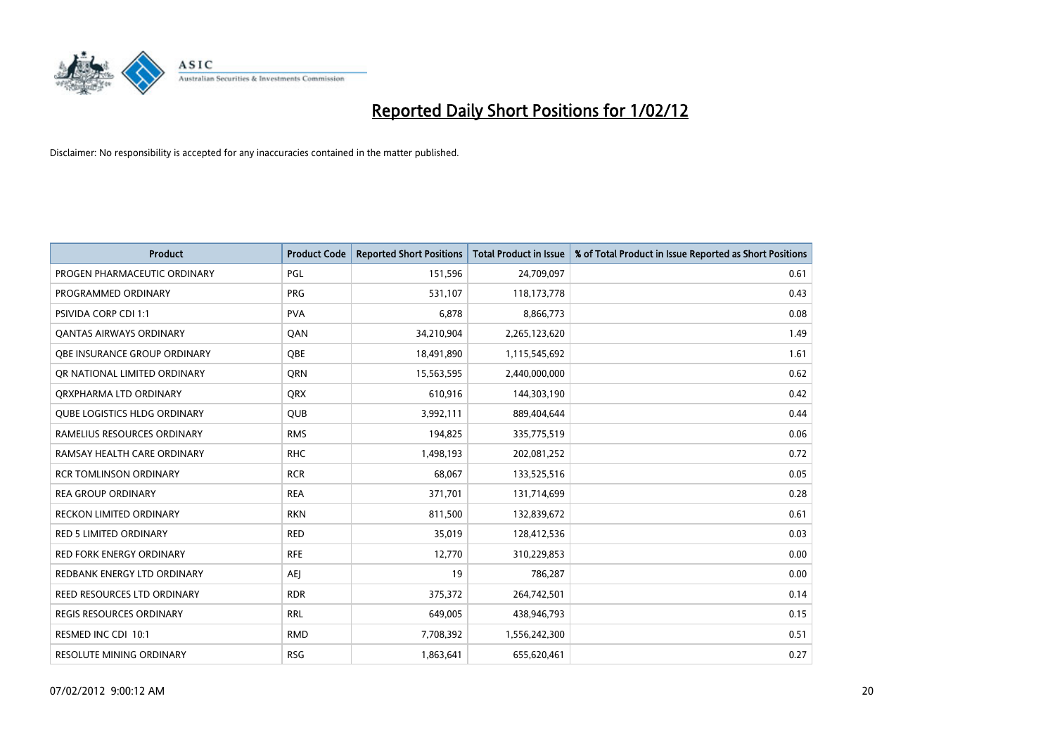

| <b>Product</b>                      | <b>Product Code</b> | <b>Reported Short Positions</b> | <b>Total Product in Issue</b> | % of Total Product in Issue Reported as Short Positions |
|-------------------------------------|---------------------|---------------------------------|-------------------------------|---------------------------------------------------------|
| PROGEN PHARMACEUTIC ORDINARY        | PGL                 | 151,596                         | 24,709,097                    | 0.61                                                    |
| PROGRAMMED ORDINARY                 | <b>PRG</b>          | 531,107                         | 118,173,778                   | 0.43                                                    |
| PSIVIDA CORP CDI 1:1                | <b>PVA</b>          | 6,878                           | 8,866,773                     | 0.08                                                    |
| <b>QANTAS AIRWAYS ORDINARY</b>      | QAN                 | 34,210,904                      | 2,265,123,620                 | 1.49                                                    |
| OBE INSURANCE GROUP ORDINARY        | <b>OBE</b>          | 18,491,890                      | 1,115,545,692                 | 1.61                                                    |
| OR NATIONAL LIMITED ORDINARY        | <b>ORN</b>          | 15,563,595                      | 2,440,000,000                 | 0.62                                                    |
| ORXPHARMA LTD ORDINARY              | <b>QRX</b>          | 610,916                         | 144,303,190                   | 0.42                                                    |
| <b>QUBE LOGISTICS HLDG ORDINARY</b> | QUB                 | 3,992,111                       | 889,404,644                   | 0.44                                                    |
| RAMELIUS RESOURCES ORDINARY         | <b>RMS</b>          | 194,825                         | 335,775,519                   | 0.06                                                    |
| RAMSAY HEALTH CARE ORDINARY         | <b>RHC</b>          | 1,498,193                       | 202,081,252                   | 0.72                                                    |
| <b>RCR TOMLINSON ORDINARY</b>       | <b>RCR</b>          | 68,067                          | 133,525,516                   | 0.05                                                    |
| <b>REA GROUP ORDINARY</b>           | <b>REA</b>          | 371,701                         | 131,714,699                   | 0.28                                                    |
| RECKON LIMITED ORDINARY             | <b>RKN</b>          | 811,500                         | 132,839,672                   | 0.61                                                    |
| <b>RED 5 LIMITED ORDINARY</b>       | <b>RED</b>          | 35,019                          | 128,412,536                   | 0.03                                                    |
| <b>RED FORK ENERGY ORDINARY</b>     | <b>RFE</b>          | 12,770                          | 310,229,853                   | 0.00                                                    |
| REDBANK ENERGY LTD ORDINARY         | AEJ                 | 19                              | 786,287                       | 0.00                                                    |
| REED RESOURCES LTD ORDINARY         | <b>RDR</b>          | 375,372                         | 264,742,501                   | 0.14                                                    |
| <b>REGIS RESOURCES ORDINARY</b>     | <b>RRL</b>          | 649,005                         | 438,946,793                   | 0.15                                                    |
| RESMED INC CDI 10:1                 | <b>RMD</b>          | 7,708,392                       | 1,556,242,300                 | 0.51                                                    |
| <b>RESOLUTE MINING ORDINARY</b>     | <b>RSG</b>          | 1,863,641                       | 655,620,461                   | 0.27                                                    |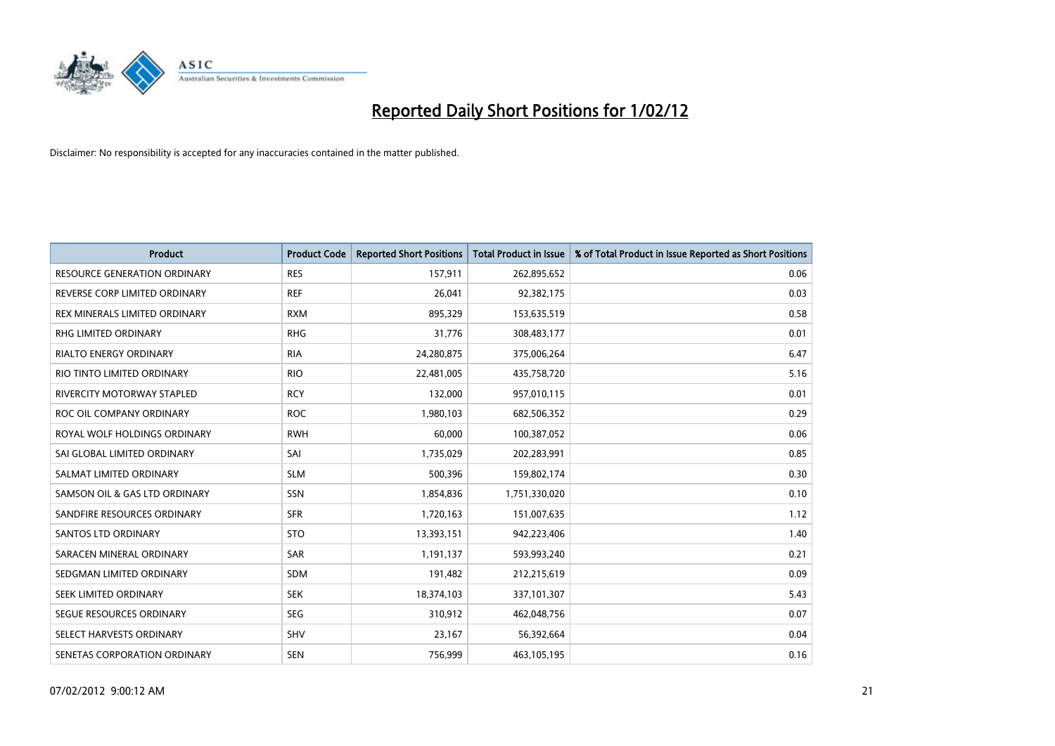

| <b>Product</b>                      | <b>Product Code</b> | <b>Reported Short Positions</b> | <b>Total Product in Issue</b> | % of Total Product in Issue Reported as Short Positions |
|-------------------------------------|---------------------|---------------------------------|-------------------------------|---------------------------------------------------------|
| <b>RESOURCE GENERATION ORDINARY</b> | <b>RES</b>          | 157,911                         | 262,895,652                   | 0.06                                                    |
| REVERSE CORP LIMITED ORDINARY       | <b>REF</b>          | 26,041                          | 92,382,175                    | 0.03                                                    |
| REX MINERALS LIMITED ORDINARY       | <b>RXM</b>          | 895,329                         | 153,635,519                   | 0.58                                                    |
| RHG LIMITED ORDINARY                | <b>RHG</b>          | 31,776                          | 308,483,177                   | 0.01                                                    |
| <b>RIALTO ENERGY ORDINARY</b>       | <b>RIA</b>          | 24,280,875                      | 375,006,264                   | 6.47                                                    |
| RIO TINTO LIMITED ORDINARY          | <b>RIO</b>          | 22,481,005                      | 435,758,720                   | 5.16                                                    |
| RIVERCITY MOTORWAY STAPLED          | <b>RCY</b>          | 132,000                         | 957,010,115                   | 0.01                                                    |
| ROC OIL COMPANY ORDINARY            | <b>ROC</b>          | 1,980,103                       | 682,506,352                   | 0.29                                                    |
| ROYAL WOLF HOLDINGS ORDINARY        | <b>RWH</b>          | 60,000                          | 100,387,052                   | 0.06                                                    |
| SAI GLOBAL LIMITED ORDINARY         | SAI                 | 1,735,029                       | 202,283,991                   | 0.85                                                    |
| SALMAT LIMITED ORDINARY             | <b>SLM</b>          | 500,396                         | 159,802,174                   | 0.30                                                    |
| SAMSON OIL & GAS LTD ORDINARY       | SSN                 | 1,854,836                       | 1,751,330,020                 | 0.10                                                    |
| SANDFIRE RESOURCES ORDINARY         | <b>SFR</b>          | 1,720,163                       | 151,007,635                   | 1.12                                                    |
| <b>SANTOS LTD ORDINARY</b>          | <b>STO</b>          | 13,393,151                      | 942,223,406                   | 1.40                                                    |
| SARACEN MINERAL ORDINARY            | SAR                 | 1,191,137                       | 593,993,240                   | 0.21                                                    |
| SEDGMAN LIMITED ORDINARY            | SDM                 | 191,482                         | 212,215,619                   | 0.09                                                    |
| SEEK LIMITED ORDINARY               | <b>SEK</b>          | 18,374,103                      | 337,101,307                   | 5.43                                                    |
| SEGUE RESOURCES ORDINARY            | <b>SEG</b>          | 310,912                         | 462,048,756                   | 0.07                                                    |
| SELECT HARVESTS ORDINARY            | <b>SHV</b>          | 23,167                          | 56,392,664                    | 0.04                                                    |
| SENETAS CORPORATION ORDINARY        | <b>SEN</b>          | 756,999                         | 463,105,195                   | 0.16                                                    |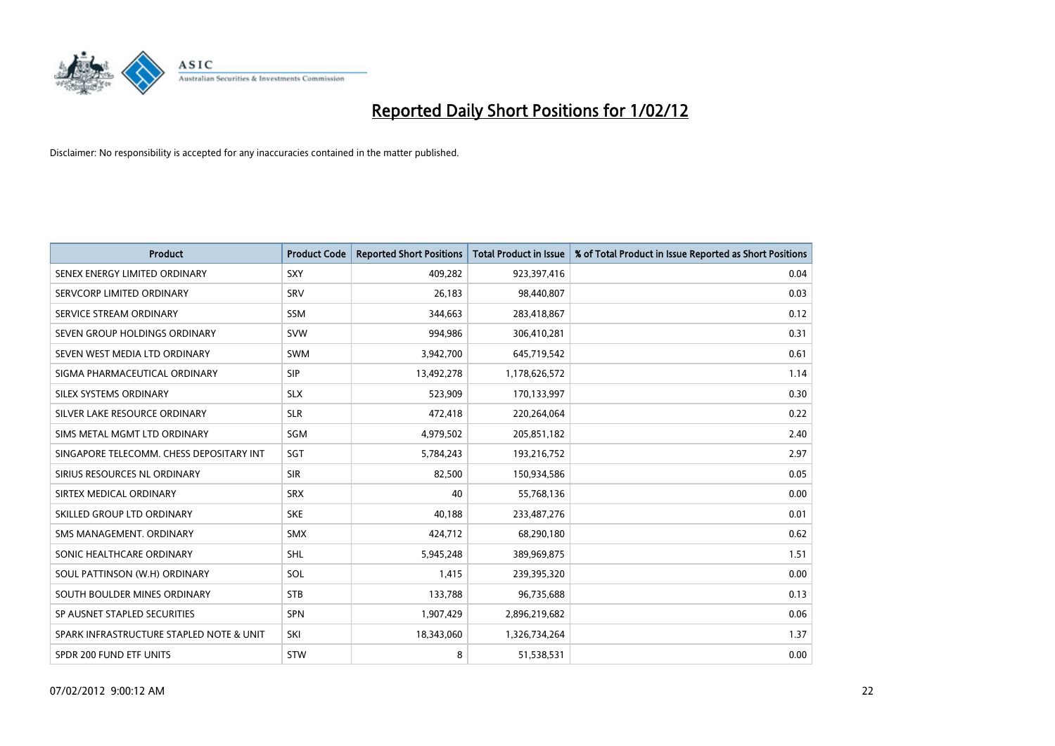

| <b>Product</b>                           | <b>Product Code</b> | <b>Reported Short Positions</b> | <b>Total Product in Issue</b> | % of Total Product in Issue Reported as Short Positions |
|------------------------------------------|---------------------|---------------------------------|-------------------------------|---------------------------------------------------------|
| SENEX ENERGY LIMITED ORDINARY            | SXY                 | 409,282                         | 923,397,416                   | 0.04                                                    |
| SERVCORP LIMITED ORDINARY                | <b>SRV</b>          | 26,183                          | 98,440,807                    | 0.03                                                    |
| SERVICE STREAM ORDINARY                  | <b>SSM</b>          | 344,663                         | 283,418,867                   | 0.12                                                    |
| SEVEN GROUP HOLDINGS ORDINARY            | <b>SVW</b>          | 994,986                         | 306,410,281                   | 0.31                                                    |
| SEVEN WEST MEDIA LTD ORDINARY            | <b>SWM</b>          | 3,942,700                       | 645,719,542                   | 0.61                                                    |
| SIGMA PHARMACEUTICAL ORDINARY            | <b>SIP</b>          | 13,492,278                      | 1,178,626,572                 | 1.14                                                    |
| SILEX SYSTEMS ORDINARY                   | <b>SLX</b>          | 523,909                         | 170,133,997                   | 0.30                                                    |
| SILVER LAKE RESOURCE ORDINARY            | <b>SLR</b>          | 472,418                         | 220,264,064                   | 0.22                                                    |
| SIMS METAL MGMT LTD ORDINARY             | SGM                 | 4,979,502                       | 205,851,182                   | 2.40                                                    |
| SINGAPORE TELECOMM. CHESS DEPOSITARY INT | SGT                 | 5,784,243                       | 193,216,752                   | 2.97                                                    |
| SIRIUS RESOURCES NL ORDINARY             | <b>SIR</b>          | 82,500                          | 150,934,586                   | 0.05                                                    |
| SIRTEX MEDICAL ORDINARY                  | <b>SRX</b>          | 40                              | 55,768,136                    | 0.00                                                    |
| SKILLED GROUP LTD ORDINARY               | <b>SKE</b>          | 40,188                          | 233,487,276                   | 0.01                                                    |
| SMS MANAGEMENT, ORDINARY                 | <b>SMX</b>          | 424,712                         | 68,290,180                    | 0.62                                                    |
| SONIC HEALTHCARE ORDINARY                | <b>SHL</b>          | 5,945,248                       | 389,969,875                   | 1.51                                                    |
| SOUL PATTINSON (W.H) ORDINARY            | SOL                 | 1,415                           | 239,395,320                   | 0.00                                                    |
| SOUTH BOULDER MINES ORDINARY             | <b>STB</b>          | 133,788                         | 96,735,688                    | 0.13                                                    |
| SP AUSNET STAPLED SECURITIES             | <b>SPN</b>          | 1,907,429                       | 2,896,219,682                 | 0.06                                                    |
| SPARK INFRASTRUCTURE STAPLED NOTE & UNIT | SKI                 | 18,343,060                      | 1,326,734,264                 | 1.37                                                    |
| SPDR 200 FUND ETF UNITS                  | <b>STW</b>          | 8                               | 51,538,531                    | 0.00                                                    |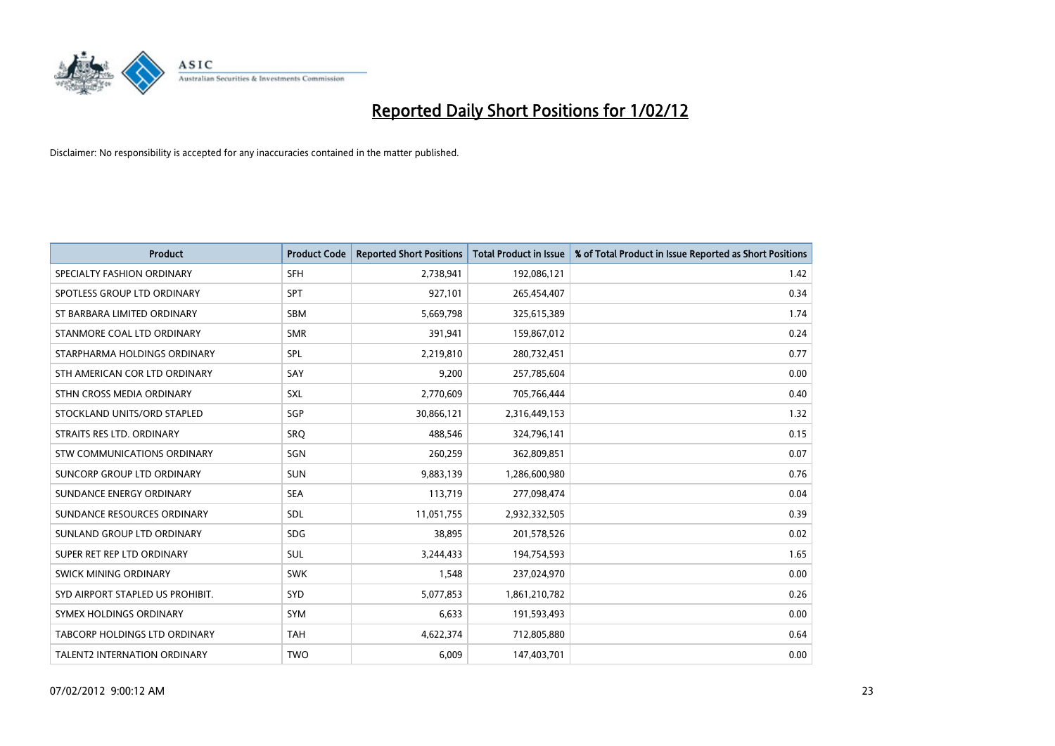

| <b>Product</b>                   | <b>Product Code</b> | <b>Reported Short Positions</b> | <b>Total Product in Issue</b> | % of Total Product in Issue Reported as Short Positions |
|----------------------------------|---------------------|---------------------------------|-------------------------------|---------------------------------------------------------|
| SPECIALTY FASHION ORDINARY       | <b>SFH</b>          | 2,738,941                       | 192,086,121                   | 1.42                                                    |
| SPOTLESS GROUP LTD ORDINARY      | SPT                 | 927,101                         | 265,454,407                   | 0.34                                                    |
| ST BARBARA LIMITED ORDINARY      | <b>SBM</b>          | 5,669,798                       | 325,615,389                   | 1.74                                                    |
| STANMORE COAL LTD ORDINARY       | <b>SMR</b>          | 391,941                         | 159,867,012                   | 0.24                                                    |
| STARPHARMA HOLDINGS ORDINARY     | SPL                 | 2,219,810                       | 280,732,451                   | 0.77                                                    |
| STH AMERICAN COR LTD ORDINARY    | SAY                 | 9,200                           | 257,785,604                   | 0.00                                                    |
| STHN CROSS MEDIA ORDINARY        | <b>SXL</b>          | 2,770,609                       | 705,766,444                   | 0.40                                                    |
| STOCKLAND UNITS/ORD STAPLED      | SGP                 | 30,866,121                      | 2,316,449,153                 | 1.32                                                    |
| STRAITS RES LTD. ORDINARY        | SRO                 | 488,546                         | 324,796,141                   | 0.15                                                    |
| STW COMMUNICATIONS ORDINARY      | SGN                 | 260,259                         | 362,809,851                   | 0.07                                                    |
| SUNCORP GROUP LTD ORDINARY       | <b>SUN</b>          | 9,883,139                       | 1,286,600,980                 | 0.76                                                    |
| SUNDANCE ENERGY ORDINARY         | <b>SEA</b>          | 113,719                         | 277,098,474                   | 0.04                                                    |
| SUNDANCE RESOURCES ORDINARY      | SDL                 | 11,051,755                      | 2,932,332,505                 | 0.39                                                    |
| SUNLAND GROUP LTD ORDINARY       | <b>SDG</b>          | 38,895                          | 201,578,526                   | 0.02                                                    |
| SUPER RET REP LTD ORDINARY       | <b>SUL</b>          | 3,244,433                       | 194,754,593                   | 1.65                                                    |
| SWICK MINING ORDINARY            | <b>SWK</b>          | 1,548                           | 237,024,970                   | 0.00                                                    |
| SYD AIRPORT STAPLED US PROHIBIT. | SYD                 | 5,077,853                       | 1,861,210,782                 | 0.26                                                    |
| SYMEX HOLDINGS ORDINARY          | <b>SYM</b>          | 6,633                           | 191,593,493                   | 0.00                                                    |
| TABCORP HOLDINGS LTD ORDINARY    | <b>TAH</b>          | 4,622,374                       | 712,805,880                   | 0.64                                                    |
| TALENT2 INTERNATION ORDINARY     | <b>TWO</b>          | 6,009                           | 147,403,701                   | 0.00                                                    |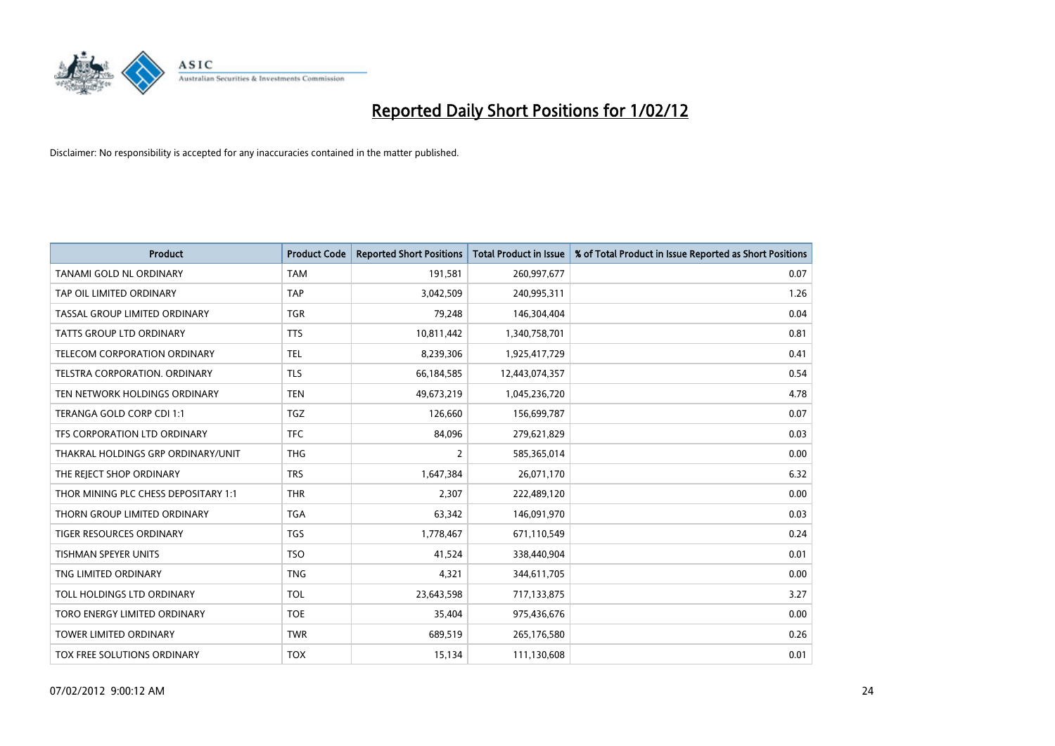

| <b>Product</b>                       | <b>Product Code</b> | <b>Reported Short Positions</b> | <b>Total Product in Issue</b> | % of Total Product in Issue Reported as Short Positions |
|--------------------------------------|---------------------|---------------------------------|-------------------------------|---------------------------------------------------------|
| TANAMI GOLD NL ORDINARY              | <b>TAM</b>          | 191,581                         | 260,997,677                   | 0.07                                                    |
| TAP OIL LIMITED ORDINARY             | <b>TAP</b>          | 3,042,509                       | 240,995,311                   | 1.26                                                    |
| TASSAL GROUP LIMITED ORDINARY        | <b>TGR</b>          | 79,248                          | 146,304,404                   | 0.04                                                    |
| TATTS GROUP LTD ORDINARY             | <b>TTS</b>          | 10,811,442                      | 1,340,758,701                 | 0.81                                                    |
| <b>TELECOM CORPORATION ORDINARY</b>  | <b>TEL</b>          | 8,239,306                       | 1,925,417,729                 | 0.41                                                    |
| TELSTRA CORPORATION, ORDINARY        | <b>TLS</b>          | 66,184,585                      | 12,443,074,357                | 0.54                                                    |
| TEN NETWORK HOLDINGS ORDINARY        | <b>TEN</b>          | 49,673,219                      | 1,045,236,720                 | 4.78                                                    |
| TERANGA GOLD CORP CDI 1:1            | TGZ                 | 126,660                         | 156,699,787                   | 0.07                                                    |
| TFS CORPORATION LTD ORDINARY         | <b>TFC</b>          | 84,096                          | 279,621,829                   | 0.03                                                    |
| THAKRAL HOLDINGS GRP ORDINARY/UNIT   | <b>THG</b>          | $\overline{2}$                  | 585,365,014                   | 0.00                                                    |
| THE REJECT SHOP ORDINARY             | <b>TRS</b>          | 1,647,384                       | 26,071,170                    | 6.32                                                    |
| THOR MINING PLC CHESS DEPOSITARY 1:1 | <b>THR</b>          | 2,307                           | 222,489,120                   | 0.00                                                    |
| THORN GROUP LIMITED ORDINARY         | <b>TGA</b>          | 63,342                          | 146,091,970                   | 0.03                                                    |
| <b>TIGER RESOURCES ORDINARY</b>      | <b>TGS</b>          | 1,778,467                       | 671,110,549                   | 0.24                                                    |
| <b>TISHMAN SPEYER UNITS</b>          | <b>TSO</b>          | 41,524                          | 338,440,904                   | 0.01                                                    |
| TNG LIMITED ORDINARY                 | <b>TNG</b>          | 4,321                           | 344,611,705                   | 0.00                                                    |
| TOLL HOLDINGS LTD ORDINARY           | <b>TOL</b>          | 23,643,598                      | 717,133,875                   | 3.27                                                    |
| TORO ENERGY LIMITED ORDINARY         | <b>TOE</b>          | 35,404                          | 975,436,676                   | 0.00                                                    |
| <b>TOWER LIMITED ORDINARY</b>        | <b>TWR</b>          | 689,519                         | 265,176,580                   | 0.26                                                    |
| TOX FREE SOLUTIONS ORDINARY          | <b>TOX</b>          | 15,134                          | 111,130,608                   | 0.01                                                    |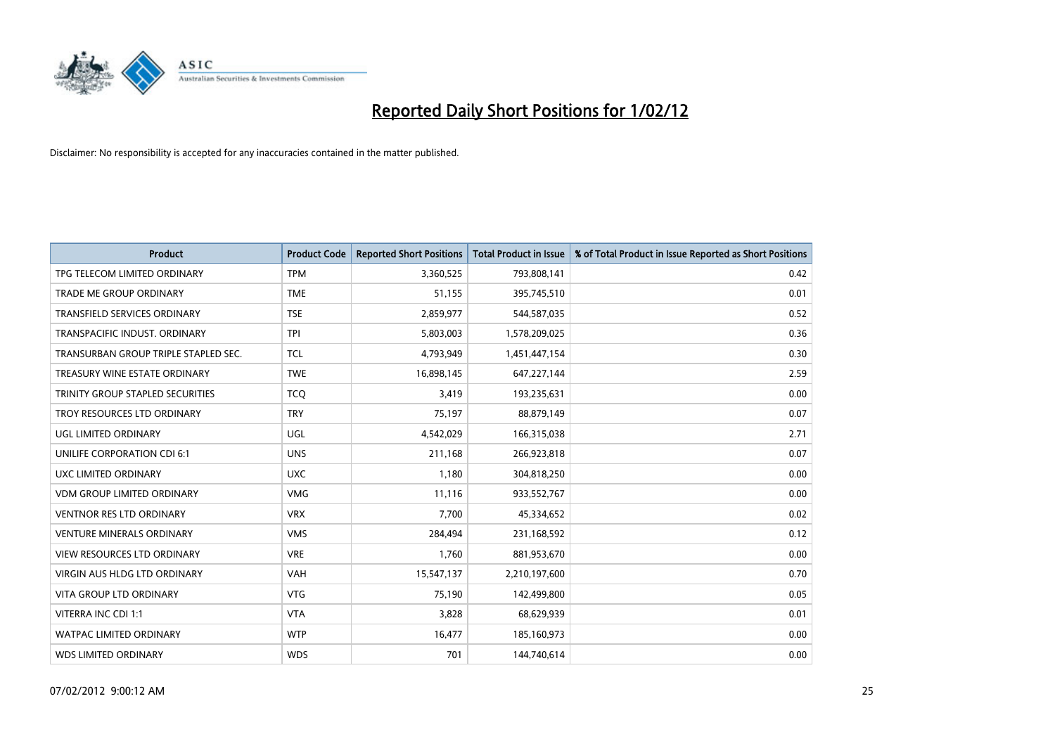

| <b>Product</b>                          | <b>Product Code</b> | <b>Reported Short Positions</b> | <b>Total Product in Issue</b> | % of Total Product in Issue Reported as Short Positions |
|-----------------------------------------|---------------------|---------------------------------|-------------------------------|---------------------------------------------------------|
| TPG TELECOM LIMITED ORDINARY            | <b>TPM</b>          | 3,360,525                       | 793,808,141                   | 0.42                                                    |
| TRADE ME GROUP ORDINARY                 | <b>TME</b>          | 51,155                          | 395,745,510                   | 0.01                                                    |
| TRANSFIELD SERVICES ORDINARY            | <b>TSE</b>          | 2,859,977                       | 544,587,035                   | 0.52                                                    |
| TRANSPACIFIC INDUST, ORDINARY           | <b>TPI</b>          | 5,803,003                       | 1,578,209,025                 | 0.36                                                    |
| TRANSURBAN GROUP TRIPLE STAPLED SEC.    | TCL                 | 4,793,949                       | 1,451,447,154                 | 0.30                                                    |
| TREASURY WINE ESTATE ORDINARY           | <b>TWE</b>          | 16,898,145                      | 647,227,144                   | 2.59                                                    |
| <b>TRINITY GROUP STAPLED SECURITIES</b> | <b>TCQ</b>          | 3,419                           | 193,235,631                   | 0.00                                                    |
| TROY RESOURCES LTD ORDINARY             | <b>TRY</b>          | 75,197                          | 88,879,149                    | 0.07                                                    |
| UGL LIMITED ORDINARY                    | UGL                 | 4,542,029                       | 166,315,038                   | 2.71                                                    |
| UNILIFE CORPORATION CDI 6:1             | <b>UNS</b>          | 211,168                         | 266,923,818                   | 0.07                                                    |
| UXC LIMITED ORDINARY                    | <b>UXC</b>          | 1,180                           | 304,818,250                   | 0.00                                                    |
| <b>VDM GROUP LIMITED ORDINARY</b>       | <b>VMG</b>          | 11,116                          | 933,552,767                   | 0.00                                                    |
| <b>VENTNOR RES LTD ORDINARY</b>         | <b>VRX</b>          | 7,700                           | 45,334,652                    | 0.02                                                    |
| <b>VENTURE MINERALS ORDINARY</b>        | <b>VMS</b>          | 284,494                         | 231,168,592                   | 0.12                                                    |
| <b>VIEW RESOURCES LTD ORDINARY</b>      | <b>VRE</b>          | 1,760                           | 881,953,670                   | 0.00                                                    |
| <b>VIRGIN AUS HLDG LTD ORDINARY</b>     | <b>VAH</b>          | 15,547,137                      | 2,210,197,600                 | 0.70                                                    |
| <b>VITA GROUP LTD ORDINARY</b>          | <b>VTG</b>          | 75,190                          | 142,499,800                   | 0.05                                                    |
| VITERRA INC CDI 1:1                     | <b>VTA</b>          | 3,828                           | 68,629,939                    | 0.01                                                    |
| <b>WATPAC LIMITED ORDINARY</b>          | <b>WTP</b>          | 16,477                          | 185,160,973                   | 0.00                                                    |
| <b>WDS LIMITED ORDINARY</b>             | <b>WDS</b>          | 701                             | 144,740,614                   | 0.00                                                    |